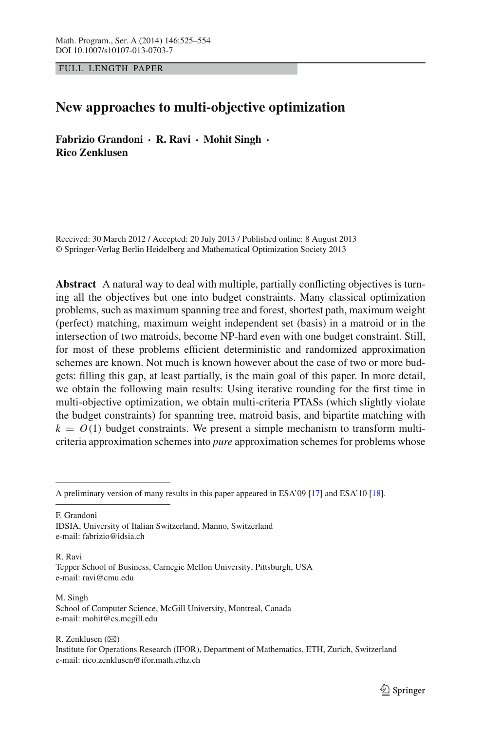FULL LENGTH PAPER

# **New approaches to multi-objective optimization**

**Fabrizio Grandoni · R. Ravi · Mohit Singh · Rico Zenklusen**

Received: 30 March 2012 / Accepted: 20 July 2013 / Published online: 8 August 2013 © Springer-Verlag Berlin Heidelberg and Mathematical Optimization Society 2013

**Abstract** A natural way to deal with multiple, partially conflicting objectives is turning all the objectives but one into budget constraints. Many classical optimization problems, such as maximum spanning tree and forest, shortest path, maximum weight (perfect) matching, maximum weight independent set (basis) in a matroid or in the intersection of two matroids, become NP-hard even with one budget constraint. Still, for most of these problems efficient deterministic and randomized approximation schemes are known. Not much is known however about the case of two or more budgets: filling this gap, at least partially, is the main goal of this paper. In more detail, we obtain the following main results: Using iterative rounding for the first time in multi-objective optimization, we obtain multi-criteria PTASs (which slightly violate the budget constraints) for spanning tree, matroid basis, and bipartite matching with  $k = O(1)$  budget constraints. We present a simple mechanism to transform multicriteria approximation schemes into *pure* approximation schemes for problems whose

F. Grandoni

R. Ravi Tepper School of Business, Carnegie Mellon University, Pittsburgh, USA e-mail: ravi@cmu.edu

M. Singh School of Computer Science, McGill University, Montreal, Canada e-mail: mohit@cs.mcgill.edu

R. Zenklusen  $(\boxtimes)$ Institute for Operations Research (IFOR), Department of Mathematics, ETH, Zurich, Switzerland e-mail: rico.zenklusen@ifor.math.ethz.ch

A preliminary version of many results in this paper appeared in ESA'09 [\[17\]](#page-29-0) and ESA'10 [\[18](#page-29-1)].

IDSIA, University of Italian Switzerland, Manno, Switzerland e-mail: fabrizio@idsia.ch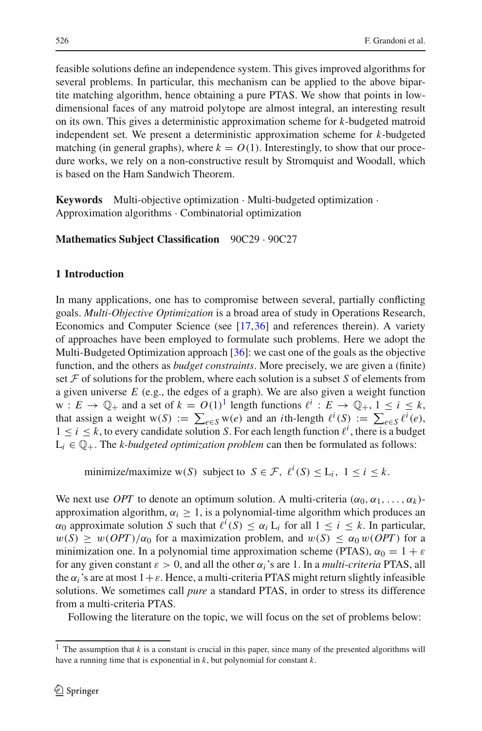feasible solutions define an independence system. This gives improved algorithms for several problems. In particular, this mechanism can be applied to the above bipartite matching algorithm, hence obtaining a pure PTAS. We show that points in lowdimensional faces of any matroid polytope are almost integral, an interesting result on its own. This gives a deterministic approximation scheme for *k*-budgeted matroid independent set. We present a deterministic approximation scheme for *k*-budgeted matching (in general graphs), where  $k = O(1)$ . Interestingly, to show that our procedure works, we rely on a non-constructive result by Stromquist and Woodall, which is based on the Ham Sandwich Theorem.

**Keywords** Multi-objective optimization · Multi-budgeted optimization · Approximation algorithms · Combinatorial optimization

**Mathematics Subject Classification** 90C29 · 90C27

# **1 Introduction**

In many applications, one has to compromise between several, partially conflicting goals. *Multi-Objective Optimization* is a broad area of study in Operations Research, Economics and Computer Science (see [\[17](#page-29-0)[,36](#page-29-2)] and references therein). A variety of approaches have been employed to formulate such problems. Here we adopt the Multi-Budgeted Optimization approach [\[36](#page-29-2)]: we cast one of the goals as the objective function, and the others as *budget constraints*. More precisely, we are given a (finite) set  $F$  of solutions for the problem, where each solution is a subset  $S$  of elements from a given universe *E* (e.g., the edges of a graph). We are also given a weight function  $w: E \to \mathbb{Q}_+$  and a set of  $k = O(1)^1$  $k = O(1)^1$  $k = O(1)^1$  length functions  $\ell^i: E \to \mathbb{Q}_+, 1 \le i \le k$ , that assign a weight  $w(S) := \sum_{e \in S} w(e)$  and an *i*th-length  $\ell^{i}(S) := \sum_{e \in S} \ell^{i}(e)$ ,  $1 \leq i \leq k$ , to every candidate solution *S*. For each length function  $\ell^i$ , there is a budget  $L_i \in \mathbb{Q}_+$ . The *k-budgeted optimization problem* can then be formulated as follows:

minimize/maximize w(*S*) subject to  $S \in \mathcal{F}$ ,  $\ell^{i}(S) \leq L_{i}$ ,  $1 \leq i \leq k$ .

We next use *OPT* to denote an optimum solution. A multi-criteria  $(\alpha_0, \alpha_1, \ldots, \alpha_k)$ approximation algorithm,  $\alpha_i \geq 1$ , is a polynomial-time algorithm which produces an  $\alpha_0$  approximate solution *S* such that  $\ell^i(S) \leq \alpha_i L_i$  for all  $1 \leq i \leq k$ . In particular,  $w(S) \geq w(OPT)/\alpha_0$  for a maximization problem, and  $w(S) \leq \alpha_0 w(OPT)$  for a minimization one. In a polynomial time approximation scheme (PTAS),  $\alpha_0 = 1 + \varepsilon$ for any given constant  $\varepsilon > 0$ , and all the other  $\alpha_i$ 's are 1. In a *multi-criteria* PTAS, all the  $\alpha_i$ 's are at most  $1+\varepsilon$ . Hence, a multi-criteria PTAS might return slightly infeasible solutions. We sometimes call *pure* a standard PTAS, in order to stress its difference from a multi-criteria PTAS.

Following the literature on the topic, we will focus on the set of problems below:

<span id="page-1-0"></span><sup>&</sup>lt;sup>1</sup> The assumption that  $k$  is a constant is crucial in this paper, since many of the presented algorithms will have a running time that is exponential in *k*, but polynomial for constant *k*.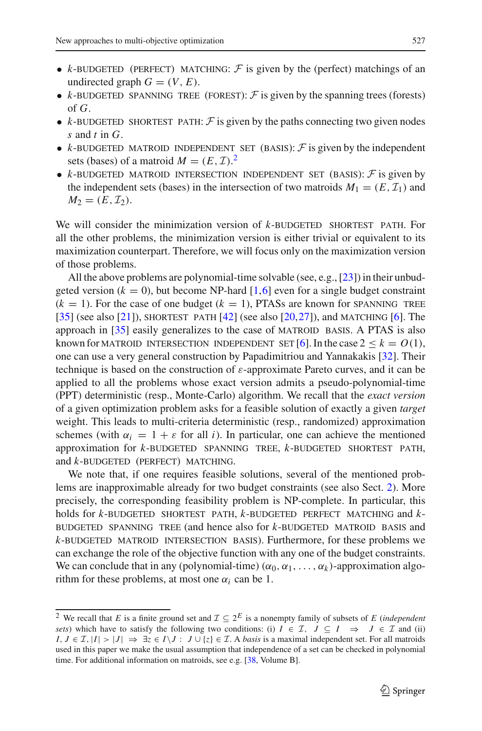- $k$ -budgeted (PERFECT) MATCHING:  $F$  is given by the (perfect) matchings of an undirected graph  $G = (V, E)$ .
- $k$ -budgeted spanning tree (forest):  $\mathcal F$  is given by the spanning trees (forests) of *G*.
- $k$ -budgeted shortest path:  $F$  is given by the paths connecting two given nodes *s* and *t* in *G*.
- $k$ -budgeted matroid independent set (basis):  $\mathcal F$  is given by the independent sets (bases) of a matroid  $M = (E, \mathcal{I})^2$  $M = (E, \mathcal{I})^2$ .
- $k$ -budgeted matroid intersection independent set (basis):  $\mathcal F$  is given by the independent sets (bases) in the intersection of two matroids  $M_1 = (E, \mathcal{I}_1)$  and  $M_2 = (E, \mathcal{I}_2).$

We will consider the minimization version of *k*-BUDGETED SHORTEST PATH. For all the other problems, the minimization version is either trivial or equivalent to its maximization counterpart. Therefore, we will focus only on the maximization version of those problems.

All the above problems are polynomial-time solvable (see, e.g., [\[23](#page-29-3)]) in their unbudgeted version ( $k = 0$ ), but become NP-hard [\[1](#page-28-0)[,6](#page-28-1)] even for a single budget constraint  $(k = 1)$ . For the case of one budget  $(k = 1)$ , PTASs are known for SPANNING TREE [\[35](#page-29-4)] (see also [\[21\]](#page-29-5)), SHORTEST PATH  $[42]$  $[42]$  (see also [\[20](#page-29-7)[,27](#page-29-8)]), and MATCHING [\[6](#page-28-1)]. The approach in  $[35]$  easily generalizes to the case of MATROID BASIS. A PTAS is also known for MATROID INTERSECTION INDEPENDENT SET  $[6]$  $[6]$ . In the case  $2 < k = O(1)$ , one can use a very general construction by Papadimitriou and Yannakakis [\[32](#page-29-9)]. Their technique is based on the construction of  $\varepsilon$ -approximate Pareto curves, and it can be applied to all the problems whose exact version admits a pseudo-polynomial-time (PPT) deterministic (resp., Monte-Carlo) algorithm. We recall that the *exact version* of a given optimization problem asks for a feasible solution of exactly a given *target* weight. This leads to multi-criteria deterministic (resp., randomized) approximation schemes (with  $\alpha_i = 1 + \varepsilon$  for all *i*). In particular, one can achieve the mentioned approximation for *k*-budgeted spanning tree, *k*-budgeted shortest path, and *k*-BUDGETED (PERFECT) MATCHING.

We note that, if one requires feasible solutions, several of the mentioned problems are inapproximable already for two budget constraints (see also Sect. [2\)](#page-6-0). More precisely, the corresponding feasibility problem is NP-complete. In particular, this holds for *k*-budgeted shortest path, *k*-budgeted perfect matching and *k*budgeted spanning tree (and hence also for *k*-budgeted matroid basis and *k*-budgeted matroid intersection basis). Furthermore, for these problems we can exchange the role of the objective function with any one of the budget constraints. We can conclude that in any (polynomial-time)  $(\alpha_0, \alpha_1, \ldots, \alpha_k)$ -approximation algorithm for these problems, at most one  $\alpha_i$  can be 1.

<span id="page-2-0"></span><sup>&</sup>lt;sup>2</sup> We recall that *E* is a finite ground set and  $\mathcal{I} \subseteq 2^E$  is a nonempty family of subsets of *E* (*independent sets*) which have to satisfy the following two conditions: (i)  $I \in \mathcal{I}$ ,  $J \subseteq I \implies J \in \mathcal{I}$  and (ii) *I*, *J* ∈ *I*,  $|I| > |J|$   $\Rightarrow \exists z \in I \setminus J : J \cup \{z\} \in I$ . A *basis* is a maximal independent set. For all matroids used in this paper we make the usual assumption that independence of a set can be checked in polynomial time. For additional information on matroids, see e.g. [\[38](#page-29-10), Volume B].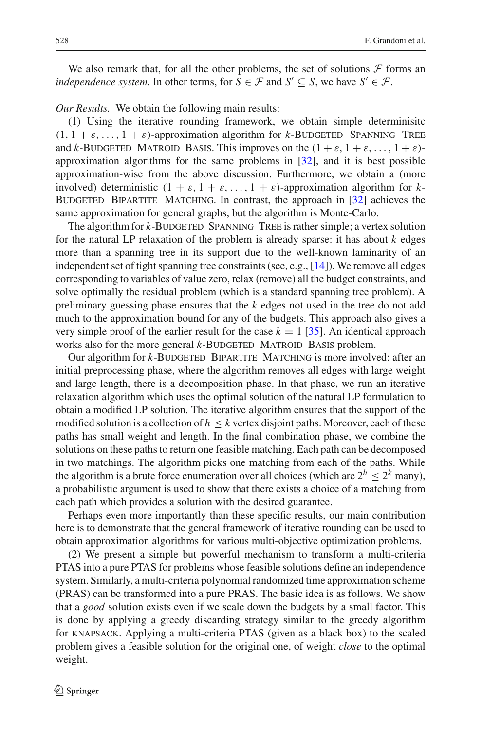We also remark that, for all the other problems, the set of solutions  $\mathcal F$  forms an *independence system*. In other terms, for  $S \in \mathcal{F}$  and  $S' \subseteq S$ , we have  $S' \in \mathcal{F}$ .

*Our Results.* We obtain the following main results:

(1) Using the iterative rounding framework, we obtain simple determinisitc  $(1, 1 + \varepsilon, \ldots, 1 + \varepsilon)$ -approximation algorithm for *k*-BUDGETED SPANNING TREE and *k*-BUDGETED MATROID BASIS. This improves on the  $(1 + \varepsilon, 1 + \varepsilon, \ldots, 1 + \varepsilon)$ approximation algorithms for the same problems in [\[32\]](#page-29-9), and it is best possible approximation-wise from the above discussion. Furthermore, we obtain a (more involved) deterministic  $(1 + \varepsilon, 1 + \varepsilon, \ldots, 1 + \varepsilon)$ -approximation algorithm for *k*-BUDGETED BIPARTITE MATCHING. In contrast, the approach in [\[32](#page-29-9)] achieves the same approximation for general graphs, but the algorithm is Monte-Carlo.

The algorithm for *k*-BUDGETED SPANNING TREE is rather simple; a vertex solution for the natural LP relaxation of the problem is already sparse: it has about *k* edges more than a spanning tree in its support due to the well-known laminarity of an independent set of tight spanning tree constraints (see, e.g.,  $[14]$  $[14]$ ). We remove all edges corresponding to variables of value zero, relax (remove) all the budget constraints, and solve optimally the residual problem (which is a standard spanning tree problem). A preliminary guessing phase ensures that the *k* edges not used in the tree do not add much to the approximation bound for any of the budgets. This approach also gives a very simple proof of the earlier result for the case  $k = 1$  [\[35](#page-29-4)]. An identical approach works also for the more general *k*-BUDGETED MATROID BASIS problem.

Our algorithm for *k*-BUDGETED BIPARTITE MATCHING is more involved: after an initial preprocessing phase, where the algorithm removes all edges with large weight and large length, there is a decomposition phase. In that phase, we run an iterative relaxation algorithm which uses the optimal solution of the natural LP formulation to obtain a modified LP solution. The iterative algorithm ensures that the support of the modified solution is a collection of  $h \leq k$  vertex disjoint paths. Moreover, each of these paths has small weight and length. In the final combination phase, we combine the solutions on these paths to return one feasible matching. Each path can be decomposed in two matchings. The algorithm picks one matching from each of the paths. While the algorithm is a brute force enumeration over all choices (which are  $2^h \leq 2^k$  many), a probabilistic argument is used to show that there exists a choice of a matching from each path which provides a solution with the desired guarantee.

Perhaps even more importantly than these specific results, our main contribution here is to demonstrate that the general framework of iterative rounding can be used to obtain approximation algorithms for various multi-objective optimization problems.

(2) We present a simple but powerful mechanism to transform a multi-criteria PTAS into a pure PTAS for problems whose feasible solutions define an independence system. Similarly, a multi-criteria polynomial randomized time approximation scheme (PRAS) can be transformed into a pure PRAS. The basic idea is as follows. We show that a *good* solution exists even if we scale down the budgets by a small factor. This is done by applying a greedy discarding strategy similar to the greedy algorithm for knapsack. Applying a multi-criteria PTAS (given as a black box) to the scaled problem gives a feasible solution for the original one, of weight *close* to the optimal weight.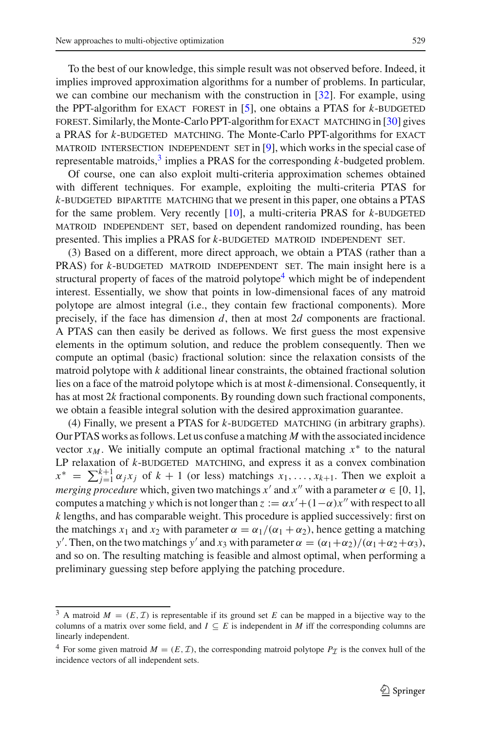To the best of our knowledge, this simple result was not observed before. Indeed, it implies improved approximation algorithms for a number of problems. In particular, we can combine our mechanism with the construction in [\[32](#page-29-9)]. For example, using the PPT-algorithm for EXACT FOREST in  $[5]$  $[5]$ , one obtains a PTAS for *k*-BUDGETED FOREST. Similarly, the Monte-Carlo PPT-algorithm for EXACT MATCHING in [\[30\]](#page-29-11) gives a PRAS for *k*-budgeted matching. The Monte-Carlo PPT-algorithms for exact MATROID INTERSECTION INDEPENDENT SET in  $[9]$ , which works in the special case of representable matroids, $3$  implies a PRAS for the corresponding  $k$ -budgeted problem.

Of course, one can also exploit multi-criteria approximation schemes obtained with different techniques. For example, exploiting the multi-criteria PTAS for *k*-budgeted bipartite matching that we present in this paper, one obtains a PTAS for the same problem. Very recently  $[10]$  $[10]$ , a multi-criteria PRAS for *k*-BUDGETED matroid independent set, based on dependent randomized rounding, has been presented. This implies a PRAS for *k*-budgeted matroid independent set.

(3) Based on a different, more direct approach, we obtain a PTAS (rather than a PRAS) for *k*-BUDGETED MATROID INDEPENDENT SET. The main insight here is a structural property of faces of the matroid polytope<sup>[4](#page-4-1)</sup> which might be of independent interest. Essentially, we show that points in low-dimensional faces of any matroid polytope are almost integral (i.e., they contain few fractional components). More precisely, if the face has dimension *d*, then at most 2*d* components are fractional. A PTAS can then easily be derived as follows. We first guess the most expensive elements in the optimum solution, and reduce the problem consequently. Then we compute an optimal (basic) fractional solution: since the relaxation consists of the matroid polytope with *k* additional linear constraints, the obtained fractional solution lies on a face of the matroid polytope which is at most *k*-dimensional. Consequently, it has at most 2*k* fractional components. By rounding down such fractional components, we obtain a feasible integral solution with the desired approximation guarantee.

(4) Finally, we present a PTAS for *k*-budgeted matching (in arbitrary graphs). Our PTAS works as follows. Let us confuse a matching *M* with the associated incidence vector  $x_M$ . We initially compute an optimal fractional matching  $x^*$  to the natural LP relaxation of *k*-BUDGETED MATCHING, and express it as a convex combination  $x^* = \sum_{j=1}^{k+1} \alpha_j x_j$  of  $k+1$  (or less) matchings  $x_1, \ldots, x_{k+1}$ . Then we exploit a *merging procedure* which, given two matchings  $x'$  and  $x''$  with a parameter  $\alpha \in [0, 1]$ , computes a matching *y* which is not longer than  $z := \alpha x' + (1 - \alpha)x''$  with respect to all *k* lengths, and has comparable weight. This procedure is applied successively: first on the matchings  $x_1$  and  $x_2$  with parameter  $\alpha = \alpha_1/(\alpha_1 + \alpha_2)$ , hence getting a matching *y*'. Then, on the two matchings *y*' and *x*<sub>3</sub> with parameter  $\alpha = (\alpha_1 + \alpha_2)/(\alpha_1 + \alpha_2 + \alpha_3)$ , and so on. The resulting matching is feasible and almost optimal, when performing a preliminary guessing step before applying the patching procedure.

<span id="page-4-0"></span><sup>&</sup>lt;sup>3</sup> A matroid  $M = (E, \mathcal{I})$  is representable if its ground set *E* can be mapped in a bijective way to the columns of a matrix over some field, and  $I \subseteq E$  is independent in *M* iff the corresponding columns are linearly independent.

<span id="page-4-1"></span><sup>&</sup>lt;sup>4</sup> For some given matroid  $M = (E, \mathcal{I})$ , the corresponding matroid polytope  $P_{\mathcal{I}}$  is the convex hull of the incidence vectors of all independent sets.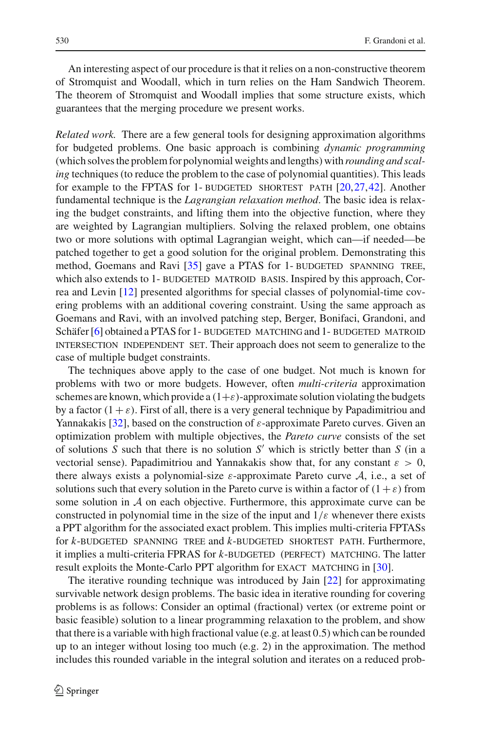An interesting aspect of our procedure is that it relies on a non-constructive theorem of Stromquist and Woodall, which in turn relies on the Ham Sandwich Theorem. The theorem of Stromquist and Woodall implies that some structure exists, which guarantees that the merging procedure we present works.

*Related work.* There are a few general tools for designing approximation algorithms for budgeted problems. One basic approach is combining *dynamic programming* (which solves the problem for polynomial weights and lengths) with *rounding and scaling* techniques (to reduce the problem to the case of polynomial quantities). This leads for example to the FPTAS for 1- BUDGETED SHORTEST PATH  $[20,27,42]$  $[20,27,42]$  $[20,27,42]$  $[20,27,42]$ . Another fundamental technique is the *Lagrangian relaxation method*. The basic idea is relaxing the budget constraints, and lifting them into the objective function, where they are weighted by Lagrangian multipliers. Solving the relaxed problem, one obtains two or more solutions with optimal Lagrangian weight, which can—if needed—be patched together to get a good solution for the original problem. Demonstrating this method, Goemans and Ravi [\[35\]](#page-29-4) gave a PTAS for 1- BUDGETED SPANNING TREE, which also extends to 1- BUDGETED MATROID BASIS. Inspired by this approach, Correa and Levin [\[12](#page-28-6)] presented algorithms for special classes of polynomial-time covering problems with an additional covering constraint. Using the same approach as Goemans and Ravi, with an involved patching step, Berger, Bonifaci, Grandoni, and Schäfer [\[6\]](#page-28-1) obtained a PTAS for 1- BUDGETED MATCHING and 1- BUDGETED MATROID intersection independent set. Their approach does not seem to generalize to the case of multiple budget constraints.

The techniques above apply to the case of one budget. Not much is known for problems with two or more budgets. However, often *multi-criteria* approximation schemes are known, which provide a  $(1+\varepsilon)$ -approximate solution violating the budgets by a factor  $(1 + \varepsilon)$ . First of all, there is a very general technique by Papadimitriou and Yannakakis [\[32](#page-29-9)], based on the construction of  $\varepsilon$ -approximate Pareto curves. Given an optimization problem with multiple objectives, the *Pareto curve* consists of the set of solutions *S* such that there is no solution *S* which is strictly better than *S* (in a vectorial sense). Papadimitriou and Yannakakis show that, for any constant  $\varepsilon > 0$ , there always exists a polynomial-size  $\varepsilon$ -approximate Pareto curve *A*, i.e., a set of solutions such that every solution in the Pareto curve is within a factor of  $(1+\varepsilon)$  from some solution in *A* on each objective. Furthermore, this approximate curve can be constructed in polynomial time in the size of the input and  $1/\varepsilon$  whenever there exists a PPT algorithm for the associated exact problem. This implies multi-criteria FPTASs for *k*-budgeted spanning tree and *k*-budgeted shortest path. Furthermore, it implies a multi-criteria FPRAS for *k*-BUDGETED (PERFECT) MATCHING. The latter result exploits the Monte-Carlo PPT algorithm for EXACT MATCHING in [\[30](#page-29-11)].

The iterative rounding technique was introduced by Jain [\[22](#page-29-12)] for approximating survivable network design problems. The basic idea in iterative rounding for covering problems is as follows: Consider an optimal (fractional) vertex (or extreme point or basic feasible) solution to a linear programming relaxation to the problem, and show that there is a variable with high fractional value (e.g. at least 0.5) which can be rounded up to an integer without losing too much (e.g. 2) in the approximation. The method includes this rounded variable in the integral solution and iterates on a reduced prob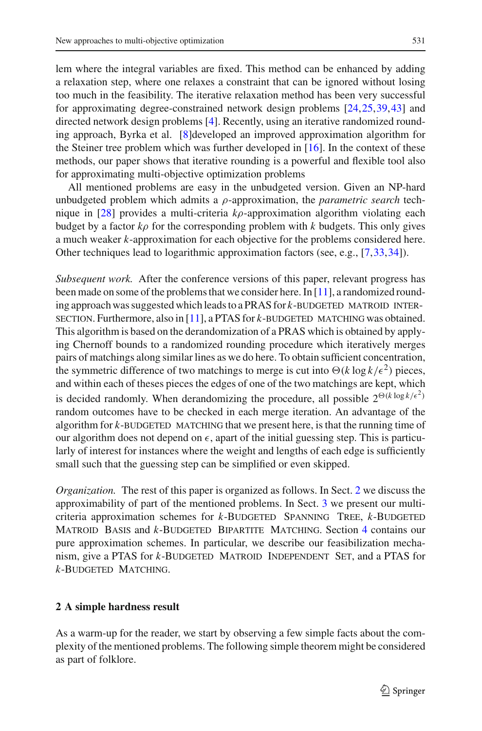lem where the integral variables are fixed. This method can be enhanced by adding a relaxation step, where one relaxes a constraint that can be ignored without losing too much in the feasibility. The iterative relaxation method has been very successful for approximating degree-constrained network design problems [\[24](#page-29-13)[,25](#page-29-14),[39](#page-29-15),[43\]](#page-29-16) and directed network design problems [\[4](#page-28-7)]. Recently, using an iterative randomized rounding approach, Byrka et al. [\[8\]](#page-28-8)developed an improved approximation algorithm for the Steiner tree problem which was further developed in [\[16\]](#page-29-17). In the context of these methods, our paper shows that iterative rounding is a powerful and flexible tool also for approximating multi-objective optimization problems

All mentioned problems are easy in the unbudgeted version. Given an NP-hard unbudgeted problem which admits a ρ-approximation, the *parametric search* technique in [\[28\]](#page-29-18) provides a multi-criteria *k*ρ-approximation algorithm violating each budget by a factor  $k\rho$  for the corresponding problem with  $k$  budgets. This only gives a much weaker *k*-approximation for each objective for the problems considered here. Other techniques lead to logarithmic approximation factors (see, e.g., [\[7,](#page-28-9)[33,](#page-29-19)[34\]](#page-29-20)).

*Subsequent work.* After the conference versions of this paper, relevant progress has been made on some of the problems that we consider here. In [\[11\]](#page-28-10), a randomized rounding approach was suggested which leads to a PRAS for *k*-BUDGETED MATROID INTERsection. Furthermore, also in [\[11\]](#page-28-10), a PTAS for *k*-budgeted matching was obtained. This algorithm is based on the derandomization of a PRAS which is obtained by applying Chernoff bounds to a randomized rounding procedure which iteratively merges pairs of matchings along similar lines as we do here. To obtain sufficient concentration, the symmetric difference of two matchings to merge is cut into  $\Theta(k \log k/\epsilon^2)$  pieces, and within each of theses pieces the edges of one of the two matchings are kept, which is decided randomly. When derandomizing the procedure, all possible  $2^{\Theta(k \log k/\epsilon^2)}$ random outcomes have to be checked in each merge iteration. An advantage of the algorithm for *k*-BUDGETED MATCHING that we present here, is that the running time of our algorithm does not depend on  $\epsilon$ , apart of the initial guessing step. This is particularly of interest for instances where the weight and lengths of each edge is sufficiently small such that the guessing step can be simplified or even skipped.

*Organization.* The rest of this paper is organized as follows. In Sect. [2](#page-6-0) we discuss the approximability of part of the mentioned problems. In Sect. [3](#page-8-0) we present our multicriteria approximation schemes for *k*-Budgeted Spanning Tree, *k*-Budgeted Matroid Basis and *k*-Budgeted Bipartite Matching. Section [4](#page-15-0) contains our pure approximation schemes. In particular, we describe our feasibilization mechanism, give a PTAS for *k*-BUDGETED MATROID INDEPENDENT SET, and a PTAS for *k*-Budgeted Matching.

# <span id="page-6-0"></span>**2 A simple hardness result**

<span id="page-6-1"></span>As a warm-up for the reader, we start by observing a few simple facts about the complexity of the mentioned problems. The following simple theorem might be considered as part of folklore.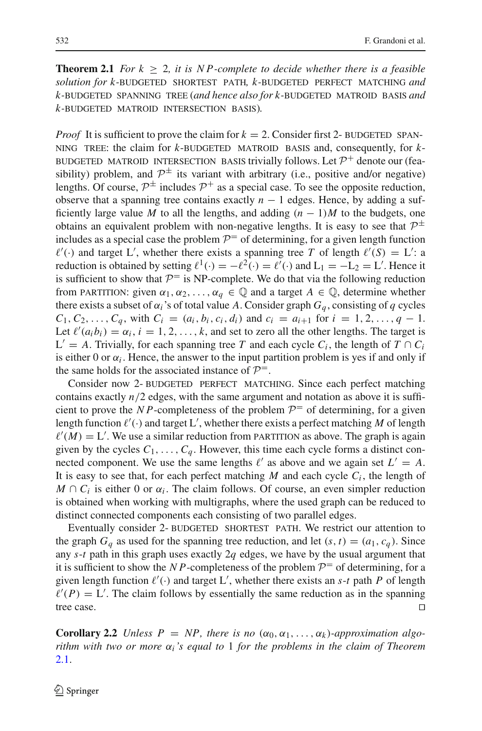**Theorem 2.1** *For k*  $\geq$  2*, it is NP-complete to decide whether there is a feasible solution for k-*budgeted shortest path*, k-*budgeted perfect matching *and k-*budgeted spanning tree (*and hence also for k-*budgeted matroid basis *and k-*budgeted matroid intersection basis)*.*

*Proof* It is sufficient to prove the claim for  $k = 2$ . Consider first 2- BUDGETED SPANning tree: the claim for *k*-budgeted matroid basis and, consequently, for *k*-BUDGETED MATROID INTERSECTION BASIS trivially follows. Let  $\mathcal{P}^+$  denote our (feasibility) problem, and  $\mathcal{P}^{\pm}$  its variant with arbitrary (i.e., positive and/or negative) lengths. Of course,  $\mathcal{P}^{\pm}$  includes  $\mathcal{P}^+$  as a special case. To see the opposite reduction, observe that a spanning tree contains exactly  $n - 1$  edges. Hence, by adding a sufficiently large value *M* to all the lengths, and adding  $(n - 1)M$  to the budgets, one obtains an equivalent problem with non-negative lengths. It is easy to see that  $\mathcal{P}^{\pm}$ includes as a special case the problem  $\mathcal{P}^-$  of determining, for a given length function  $\ell'(\cdot)$  and target L', whether there exists a spanning tree T of length  $\ell'(S) = L'$ : a reduction is obtained by setting  $\ell^1(\cdot) = -\ell^2(\cdot) = \ell'(\cdot)$  and  $L_1 = -L_2 = L'$ . Hence it is sufficient to show that  $P^=$  is NP-complete. We do that via the following reduction from PARTITION: given  $\alpha_1, \alpha_2, \ldots, \alpha_q \in \mathbb{Q}$  and a target  $A \in \mathbb{Q}$ , determine whether there exists a subset of  $\alpha_i$ 's of total value *A*. Consider graph  $G_a$ , consisting of *q* cycles  $C_1, C_2, \ldots, C_q$ , with  $C_i = (a_i, b_i, c_i, d_i)$  and  $c_i = a_{i+1}$  for  $i = 1, 2, \ldots, q - 1$ . Let  $\ell'(a_i b_i) = \alpha_i$ ,  $i = 1, 2, ..., k$ , and set to zero all the other lengths. The target is  $L' = A$ . Trivially, for each spanning tree *T* and each cycle  $C_i$ , the length of  $T \cap C_i$ is either 0 or  $\alpha_i$ . Hence, the answer to the input partition problem is yes if and only if the same holds for the associated instance of  $\mathcal{P}^=$ .

Consider now 2- BUDGETED PERFECT MATCHING. Since each perfect matching contains exactly *n*/2 edges, with the same argument and notation as above it is sufficient to prove the *NP*-completeness of the problem  $\mathcal{P}^-$  of determining, for a given length function  $\ell'(\cdot)$  and target L', whether there exists a perfect matching M of length  $\ell'(M) = L'$ . We use a similar reduction from PARTITION as above. The graph is again given by the cycles  $C_1, \ldots, C_a$ . However, this time each cycle forms a distinct connected component. We use the same lengths  $\ell'$  as above and we again set  $L' = A$ . It is easy to see that, for each perfect matching *M* and each cycle  $C_i$ , the length of  $M \cap C_i$  is either 0 or  $\alpha_i$ . The claim follows. Of course, an even simpler reduction is obtained when working with multigraphs, where the used graph can be reduced to distinct connected components each consisting of two parallel edges.

Eventually consider 2- BUDGETED SHORTEST PATH. We restrict our attention to the graph  $G_q$  as used for the spanning tree reduction, and let  $(s, t) = (a_1, c_q)$ . Since any *s*-*t* path in this graph uses exactly 2*q* edges, we have by the usual argument that it is sufficient to show the *N P*-completeness of the problem  $\mathcal{P}^-$  of determining, for a given length function  $\ell'(\cdot)$  and target L', whether there exists an  $s$ -*t* path *P* of length  $\ell'(P) = L'$ . The claim follows by essentially the same reduction as in the spanning tree case.

**Corollary 2.2** *Unless P* = *NP*, *there is no*  $(\alpha_0, \alpha_1, \ldots, \alpha_k)$ *-approximation algorithm with two or more*  $\alpha_i$ 's equal to 1 for the problems in the claim of Theorem [2.1.](#page-6-1)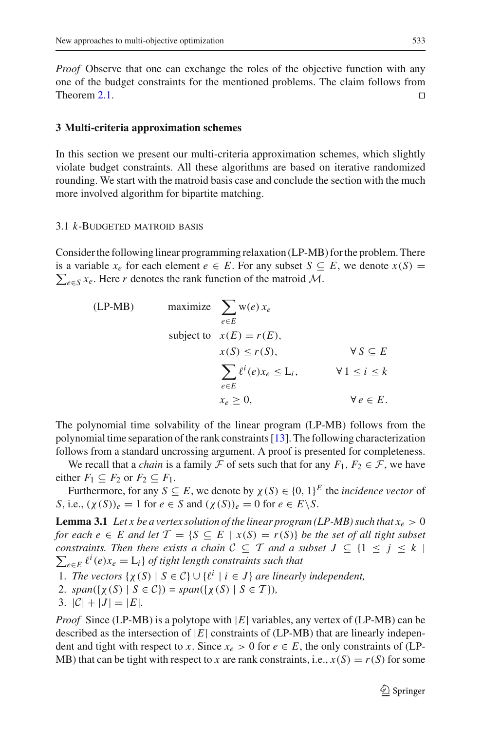*Proof* Observe that one can exchange the roles of the objective function with any one of the budget constraints for the mentioned problems. The claim follows from Theorem [2.1.](#page-6-1)  $\Box$ 

## <span id="page-8-0"></span>**3 Multi-criteria approximation schemes**

In this section we present our multi-criteria approximation schemes, which slightly violate budget constraints. All these algorithms are based on iterative randomized rounding. We start with the matroid basis case and conclude the section with the much more involved algorithm for bipartite matching.

### 3.1 *k*-Budgeted matroid basis

Consider the following linear programming relaxation (LP-MB) for the problem. There  $\sum_{e \in S} x_e$ . Here *r* denotes the rank function of the matroid *M*. is a variable  $x_e$  for each element  $e \in E$ . For any subset  $S \subseteq E$ , we denote  $x(S) =$ 

(LP-MB) maximize 
$$
\sum_{e \in E} w(e) x_e
$$
  
\nsubject to  $x(E) = r(E)$ ,  
\n $x(S) \le r(S)$ ,  $\forall S \subseteq E$   
\n $\sum_{e \in E} \ell^i(e) x_e \le L_i$ ,  $\forall 1 \le i \le k$   
\n $x_e \ge 0$ ,  $\forall e \in E$ .

The polynomial time solvability of the linear program (LP-MB) follows from the polynomial time separation of the rank constraints [\[13](#page-28-11)]. The following characterization follows from a standard uncrossing argument. A proof is presented for completeness.

We recall that a *chain* is a family *F* of sets such that for any  $F_1, F_2 \in \mathcal{F}$ , we have either  $F_1 \subseteq F_2$  or  $F_2 \subseteq F_1$ .

Furthermore, for any  $S \subseteq E$ , we denote by  $\chi(S) \in \{0, 1\}^E$  the *incidence vector* of *S*, i.e.,  $(\chi(S))_e = 1$  for  $e \in S$  and  $(\chi(S))_e = 0$  for  $e \in E \backslash S$ .

<span id="page-8-1"></span>**Lemma 3.1** *Let x be a vertex solution of the linear program (LP-MB) such that*  $x_e > 0$ *for each e*  $\in$  *E* and let  $T = \{S \subseteq E \mid x(S) = r(S)\}$  *be the set of all tight subset*  $\sum_{e \in E} \ell^{i}(e) x_e = L_i$  *of tight length constraints such that constraints. Then there exists a chain*  $C \subseteq T$  *and a subset*  $J \subseteq \{1 \leq j \leq k\}$ 

1. *The vectors*  $\{\chi(S) \mid S \in C\} \cup \{\ell^i \mid i \in J\}$  *are linearly independent,* 

- 2.  $span({\chi(S) | S \in C}) = span({\chi(S) | S \in T})$ *,*
- 3.  $|C| + |J| = |E|$ .

*Proof* Since (LP-MB) is a polytope with |*E*| variables, any vertex of (LP-MB) can be described as the intersection of  $|E|$  constraints of (LP-MB) that are linearly independent and tight with respect to *x*. Since  $x_e > 0$  for  $e \in E$ , the only constraints of (LP-MB) that can be tight with respect to *x* are rank constraints, i.e.,  $x(S) = r(S)$  for some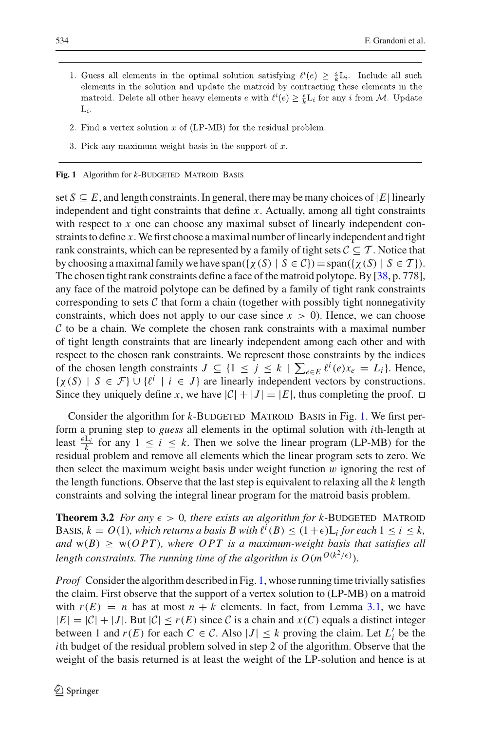- 1. Guess all elements in the optimal solution satisfying  $\ell^i(e) \geq \frac{\epsilon}{L} L_i$ . Include all such elements in the solution and update the matroid by contracting these elements in the matroid. Delete all other heavy elements e with  $\ell^i(e) \geq \frac{\epsilon}{k} L_i$  for any i from M. Update  $L_i$
- 2. Find a vertex solution  $x$  of (LP-MB) for the residual problem.
- 3. Pick any maximum weight basis in the support of  $x$ .

#### <span id="page-9-0"></span>Fig. 1 Algorithm for *k*-BUDGETED MATROID BASIS

set  $S \subseteq E$ , and length constraints. In general, there may be many choices of  $|E|$  linearly independent and tight constraints that define *x*. Actually, among all tight constraints with respect to x one can choose any maximal subset of linearly independent constraints to define *x*. We first choose a maximal number of linearly independent and tight rank constraints, which can be represented by a family of tight sets  $C \subseteq T$ . Notice that by choosing a maximal family we have span({ $\chi(S) | S \in C$ }) = span({ $\chi(S) | S \in T$ }). The chosen tight rank constraints define a face of the matroid polytope. By [\[38,](#page-29-10) p. 778], any face of the matroid polytope can be defined by a family of tight rank constraints corresponding to sets  $C$  that form a chain (together with possibly tight nonnegativity constraints, which does not apply to our case since  $x > 0$ . Hence, we can choose *C* to be a chain. We complete the chosen rank constraints with a maximal number of tight length constraints that are linearly independent among each other and with respect to the chosen rank constraints. We represent those constraints by the indices of the chosen length constraints  $J \subseteq \{1 \le j \le k \mid \sum_{e \in E} \ell^i(e) x_e = L_i\}$ . Hence,  $\{\chi(S) \mid S \in \mathcal{F}\} \cup \{\ell^i \mid i \in J\}$  are linearly independent vectors by constructions. Since they uniquely define *x*, we have  $|C| + |J| = |E|$ , thus completing the proof.  $\Box$ 

Consider the algorithm for *k*-BUDGETED MATROID BASIS in Fig. [1.](#page-9-0) We first perform a pruning step to *guess* all elements in the optimal solution with *i*th-length at least  $\frac{\epsilon L_i}{k}$  for any  $1 \le i \le k$ . Then we solve the linear program (LP-MB) for the residual problem and remove all elements which the linear program sets to zero. We then select the maximum weight basis under weight function  $w$  ignoring the rest of the length functions. Observe that the last step is equivalent to relaxing all the *k* length constraints and solving the integral linear program for the matroid basis problem.

**Theorem 3.2** *For any*  $\epsilon > 0$ *, there exists an algorithm for k*-BUDGETED MATROID BASIS,  $k = O(1)$ , which returns a basis B with  $\ell^{i}(B) \leq (1+\epsilon)L_{i}$  for each  $1 \leq i \leq k$ , *and*  $w(B) \geq w(OPT)$ *, where OPT is a maximum-weight basis that satisfies all length constraints. The running time of the algorithm is*  $O(m^{O(k^2/\epsilon)})$ *.* 

*Proof* Consider the algorithm described in Fig. [1,](#page-9-0) whose running time trivially satisfies the claim. First observe that the support of a vertex solution to (LP-MB) on a matroid with  $r(E) = n$  has at most  $n + k$  elements. In fact, from Lemma [3.1,](#page-8-1) we have  $|E| = |\mathcal{C}| + |J|$ . But  $|\mathcal{C}| \le r(E)$  since  $\mathcal C$  is a chain and  $x(C)$  equals a distinct integer between 1 and  $r(E)$  for each  $C \in C$ . Also  $|J| \leq k$  proving the claim. Let  $L'_i$  be the *i*th budget of the residual problem solved in step 2 of the algorithm. Observe that the weight of the basis returned is at least the weight of the LP-solution and hence is at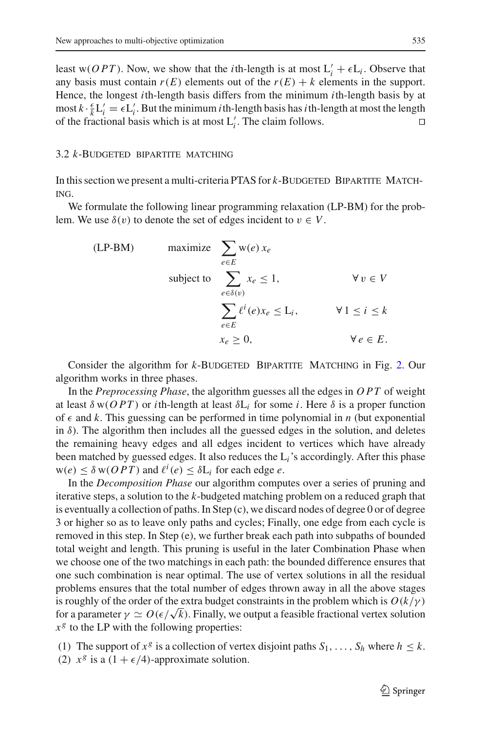least  $w(OPT)$ . Now, we show that the *i*th-length is at most  $L'_i + \epsilon L_i$ . Observe that any basis must contain  $r(E)$  elements out of the  $r(E) + k$  elements in the support. Hence, the longest *i*th-length basis differs from the minimum *i*th-length basis by at most  $k \cdot \frac{\epsilon}{k} L'_i = \epsilon L'_i$ . But the minimum *i* th-length basis has *i* th-length at most the length of the fractional basis which is at most  $L'_i$ . The claim follows.

#### 3.2 *k*-Budgeted bipartite matching

In this section we present a multi-criteria PTAS for *k*-BUDGETED BIPARTITE MATCHing.

We formulate the following linear programming relaxation (LP-BM) for the problem. We use  $\delta(v)$  to denote the set of edges incident to  $v \in V$ .

(LP-BM) maximize 
$$
\sum_{e \in E} w(e) x_e
$$
  
\nsubject to  $\sum_{e \in \delta(v)} x_e \le 1$ ,  $\forall v \in V$   
\n $\sum_{e \in E} \ell^i(e) x_e \le L_i$ ,  $\forall 1 \le i \le k$   
\n $x_e \ge 0$ ,  $\forall e \in E$ .

Consider the algorithm for *k*-BUDGETED BIPARTITE MATCHING in Fig. [2.](#page-11-0) Our algorithm works in three phases.

In the *Preprocessing Phase*, the algorithm guesses all the edges in *OPT* of weight at least  $\delta w(OPT)$  or *i*th-length at least  $\delta L_i$  for some *i*. Here  $\delta$  is a proper function of  $\epsilon$  and *k*. This guessing can be performed in time polynomial in *n* (but exponential in  $\delta$ ). The algorithm then includes all the guessed edges in the solution, and deletes the remaining heavy edges and all edges incident to vertices which have already been matched by guessed edges. It also reduces the L*i*'s accordingly. After this phase  $w(e) \leq \delta w(OPT)$  and  $\ell^i(e) \leq \delta L_i$  for each edge *e*.

In the *Decomposition Phase* our algorithm computes over a series of pruning and iterative steps, a solution to the *k*-budgeted matching problem on a reduced graph that is eventually a collection of paths. In Step (c), we discard nodes of degree 0 or of degree 3 or higher so as to leave only paths and cycles; Finally, one edge from each cycle is removed in this step. In Step (e), we further break each path into subpaths of bounded total weight and length. This pruning is useful in the later Combination Phase when we choose one of the two matchings in each path: the bounded difference ensures that one such combination is near optimal. The use of vertex solutions in all the residual problems ensures that the total number of edges thrown away in all the above stages is roughly of the order of the extra budget constraints in the problem which is  $O(k/\gamma)$ for a parameter  $\gamma \simeq O(\epsilon/\sqrt{k})$ . Finally, we output a feasible fractional vertex solution  $x^g$  to the LP with the following properties:

(1) The support of  $x^g$  is a collection of vertex disjoint paths  $S_1, \ldots, S_h$  where  $h \leq k$ . (2)  $x^g$  is a (1 +  $\epsilon$ /4)-approximate solution.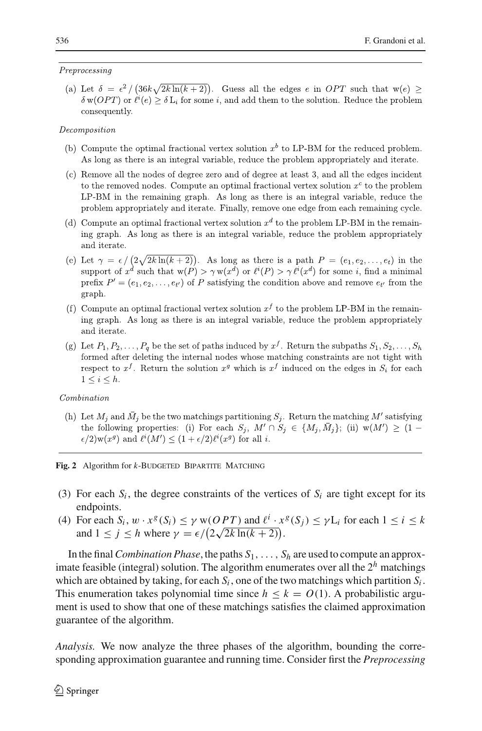#### Preprocessing

(a) Let  $\delta = \epsilon^2/(36k\sqrt{2k\ln(k+2)})$ . Guess all the edges e in OPT such that  $w(e)$  $\delta w(OPT)$  or  $\ell^{i}(e) \geq \delta L_{i}$  for some i, and add them to the solution. Reduce the problem consequently.

#### Decomposition

- (b) Compute the optimal fractional vertex solution  $x^b$  to LP-BM for the reduced problem. As long as there is an integral variable, reduce the problem appropriately and iterate.
- (c) Remove all the nodes of degree zero and of degree at least 3, and all the edges incident to the removed nodes. Compute an optimal fractional vertex solution  $x^c$  to the problem LP-BM in the remaining graph. As long as there is an integral variable, reduce the problem appropriately and iterate. Finally, remove one edge from each remaining cycle.
- (d) Compute an optimal fractional vertex solution  $x^d$  to the problem LP-BM in the remaining graph. As long as there is an integral variable, reduce the problem appropriately and iterate.
- (e) Let  $\gamma = \epsilon/(2\sqrt{2k\ln(k+2)})$ . As long as there is a path  $P = (e_1, e_2, \ldots, e_t)$  in the support of  $x^d$  such that  $w(P) > \gamma w(x^d)$  or  $\ell^i(P) > \gamma \ell^i(x^d)$  for some i, find a minimal prefix  $P' = (e_1, e_2, \dots, e_{t'})$  of P satisfying the condition above and remove  $e_{t'}$  from the graph.
- (f) Compute an optimal fractional vertex solution  $x^f$  to the problem LP-BM in the remaining graph. As long as there is an integral variable, reduce the problem appropriately and iterate.
- (g) Let  $P_1, P_2, \ldots, P_q$  be the set of paths induced by  $x^f$ . Return the subpaths  $S_1, S_2, \ldots, S_h$ formed after deleting the internal nodes whose matching constraints are not tight with respect to  $x^f$ . Return the solution  $x^g$  which is  $x^f$  induced on the edges in  $S_i$  for each  $1 \leq i \leq h$ .

Combination

(h) Let  $M_j$  and  $\bar{M}_j$  be the two matchings partitioning  $S_j$ . Return the matching  $M'$  satisfying the following properties: (i) For each  $S_i$ ,  $M' \cap S_i \in \{M_i, \bar{M}_i\}$ ; (ii)  $w(M') \geq (1 \epsilon/2$ )w(x<sup>g</sup>) and  $\ell^{i}(M') \leq (1+\epsilon/2)\ell^{i}(x^{g})$  for all *i*.

#### <span id="page-11-0"></span>Fig. 2 Algorithm for *k*-BUDGETED BIPARTITE MATCHING

- (3) For each  $S_i$ , the degree constraints of the vertices of  $S_i$  are tight except for its endpoints.
- (4) For each  $S_i$ ,  $w \cdot x^g(S_i) \le \gamma w(OPT)$  and  $\ell^i \cdot x^g(S_j) \le \gamma L_i$  for each  $1 \le i \le k$ For each  $S_i$ ,  $w \cdot x^s(S_i) \leq \gamma w(OPI)$  and  $v \cdot x^s$ <br>and  $1 \leq j \leq h$  where  $\gamma = \epsilon/(2\sqrt{2k \ln(k+2)})$ .

In the final *Combination Phase*, the paths  $S_1, \ldots, S_h$  are used to compute an approximate feasible (integral) solution. The algorithm enumerates over all the  $2<sup>h</sup>$  matchings which are obtained by taking, for each  $S_i$ , one of the two matchings which partition  $S_i$ . This enumeration takes polynomial time since  $h \le k = O(1)$ . A probabilistic argument is used to show that one of these matchings satisfies the claimed approximation guarantee of the algorithm.

*Analysis.* We now analyze the three phases of the algorithm, bounding the corresponding approximation guarantee and running time. Consider first the *Preprocessing*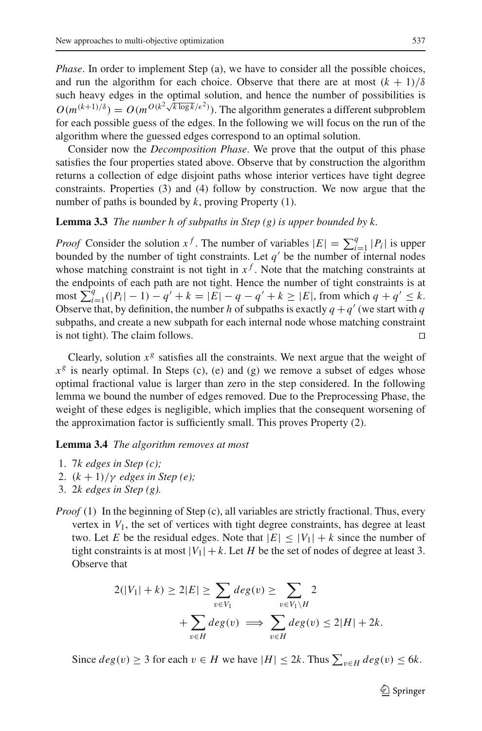*Phase*. In order to implement Step (a), we have to consider all the possible choices, and run the algorithm for each choice. Observe that there are at most  $(k + 1)/\delta$ such heavy edges in the optimal solution, and hence the number of possibilities is  $O(m^{(k+1)/\delta}) = O(m^{O(k^2 \sqrt{k \log k}/\epsilon^2)})$ . The algorithm generates a different subproblem for each possible guess of the edges. In the following we will focus on the run of the algorithm where the guessed edges correspond to an optimal solution.

Consider now the *Decomposition Phase*. We prove that the output of this phase satisfies the four properties stated above. Observe that by construction the algorithm returns a collection of edge disjoint paths whose interior vertices have tight degree constraints. Properties (3) and (4) follow by construction. We now argue that the number of paths is bounded by *k*, proving Property (1).

#### **Lemma 3.3** *The number h of subpaths in Step (g) is upper bounded by k.*

*Proof* Consider the solution  $x^f$ . The number of variables  $|E| = \sum_{i=1}^q |P_i|$  is upper bounded by the number of tight constraints. Let  $q'$  be the number of internal nodes whose matching constraint is not tight in  $x<sup>f</sup>$ . Note that the matching constraints at the endpoints of each path are not tight. Hence the number of tight constraints is at  $\max \sum_{i=1}^{q} (|P_i| - 1) - q' + k = |E| - q - q' + k \ge |E|$ , from which  $q + q' \le k$ . Observe that, by definition, the number *h* of subpaths is exactly  $q + q'$  (we start with *q* subpaths, and create a new subpath for each internal node whose matching constraint is not tight). The claim follows.

Clearly, solution  $x^g$  satisfies all the constraints. We next argue that the weight of  $x<sup>g</sup>$  is nearly optimal. In Steps (c), (e) and (g) we remove a subset of edges whose optimal fractional value is larger than zero in the step considered. In the following lemma we bound the number of edges removed. Due to the Preprocessing Phase, the weight of these edges is negligible, which implies that the consequent worsening of the approximation factor is sufficiently small. This proves Property (2).

**Lemma 3.4** *The algorithm removes at most*

- 1. 7*k edges in Step (c);*
- 2. (*k* + 1)/γ *edges in Step (e);*
- 3. 2*k edges in Step (g).*
- *Proof* (1) In the beginning of Step (c), all variables are strictly fractional. Thus, every vertex in  $V_1$ , the set of vertices with tight degree constraints, has degree at least two. Let *E* be the residual edges. Note that  $|E| \leq |V_1| + k$  since the number of tight constraints is at most  $|V_1| + k$ . Let *H* be the set of nodes of degree at least 3. Observe that

$$
2(|V_1| + k) \ge 2|E| \ge \sum_{v \in V_1} deg(v) \ge \sum_{v \in V_1 \setminus H} 2 + \sum_{v \in H} deg(v) \implies \sum_{v \in H} deg(v) \le 2|H| + 2k.
$$

Since  $deg(v) \ge 3$  for each  $v \in H$  we have  $|H| \le 2k$ . Thus  $\sum_{v \in H} deg(v) \le 6k$ .

<sup>2</sup> Springer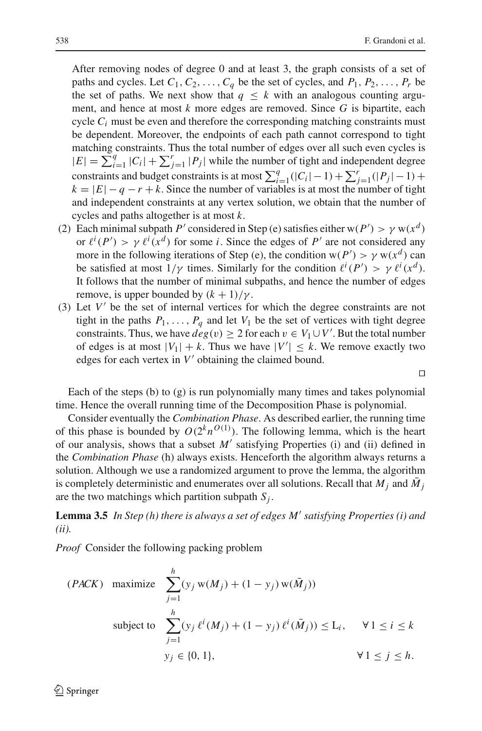After removing nodes of degree 0 and at least 3, the graph consists of a set of paths and cycles. Let  $C_1, C_2, \ldots, C_q$  be the set of cycles, and  $P_1, P_2, \ldots, P_r$  be the set of paths. We next show that  $q \leq k$  with an analogous counting argument, and hence at most *k* more edges are removed. Since *G* is bipartite, each cycle  $C_i$  must be even and therefore the corresponding matching constraints must be dependent. Moreover, the endpoints of each path cannot correspond to tight matching constraints. Thus the total number of edges over all such even cycles is  $|E| = \sum_{i=1}^{q} |C_i| + \sum_{j=1}^{r} |P_j|$  while the number of tight and independent degree constraints and budget constraints is at most  $\sum_{i=1}^{q}(|C_i| - 1) + \sum_{j=1}^{r}(|P_j| - 1) +$  $k = |E| - q - r + k$ . Since the number of variables is at most the number of tight and independent constraints at any vertex solution, we obtain that the number of cycles and paths altogether is at most *k*.

- (2) Each minimal subpath *P*' considered in Step (e) satisfies either w(*P*') >  $\gamma$  w( $x$ <sup>*d*</sup>) or  $\ell^{i}(P') > \gamma \ell^{i}(x^{d})$  for some *i*. Since the edges of *P'* are not considered any more in the following iterations of Step (e), the condition  $w(P') > \gamma w(x^d)$  can be satisfied at most  $1/\gamma$  times. Similarly for the condition  $\ell^{i}(P') > \gamma \ell^{i}(x^{d})$ . It follows that the number of minimal subpaths, and hence the number of edges remove, is upper bounded by  $(k + 1)/\gamma$ .
- (3) Let  $V'$  be the set of internal vertices for which the degree constraints are not tight in the paths  $P_1, \ldots, P_q$  and let  $V_1$  be the set of vertices with tight degree constraints. Thus, we have  $deg(v) \geq 2$  for each  $v \in V_1 \cup V'$ . But the total number of edges is at most  $|V_1| + k$ . Thus we have  $|V'| \leq k$ . We remove exactly two edges for each vertex in V' obtaining the claimed bound.

 $\Box$ 

Each of the steps  $(b)$  to  $(g)$  is run polynomially many times and takes polynomial time. Hence the overall running time of the Decomposition Phase is polynomial.

Consider eventually the *Combination Phase*. As described earlier, the running time of this phase is bounded by  $O(2^k n^{O(1)})$ . The following lemma, which is the heart of our analysis, shows that a subset  $M'$  satisfying Properties (i) and (ii) defined in the *Combination Phase* (h) always exists. Henceforth the algorithm always returns a solution. Although we use a randomized argument to prove the lemma, the algorithm is completely deterministic and enumerates over all solutions. Recall that  $M_j$  and  $M_j$ are the two matchings which partition subpath  $S_i$ .

<span id="page-13-0"></span>**Lemma 3.5** *In Step (h) there is always a set of edges M satisfying Properties (i) and (ii).*

*Proof* Consider the following packing problem

$$
(PACK) \quad \text{maximize} \quad \sum_{j=1}^{h} (y_j \, \mathbf{w}(M_j) + (1 - y_j) \, \mathbf{w}(\bar{M}_j))
$$
\n
$$
\text{subject to} \quad \sum_{j=1}^{h} (y_j \, \ell^i(M_j) + (1 - y_j) \, \ell^i(\bar{M}_j)) \le L_i, \quad \forall \, 1 \le i \le k
$$
\n
$$
y_j \in \{0, 1\}, \quad \forall \, 1 \le j \le h.
$$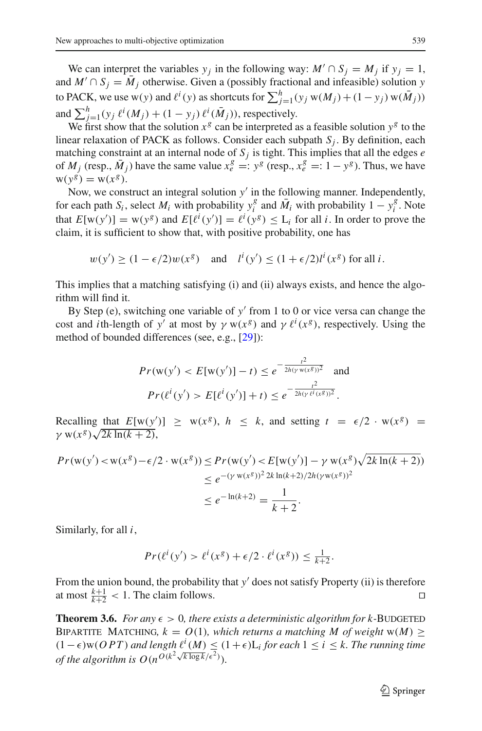We can interpret the variables  $y_j$  in the following way:  $M' \cap S_j = M_j$  if  $y_j = 1$ , and  $M' \cap S_j = \overline{M}_j$  otherwise. Given a (possibly fractional and infeasible) solution *y* to PACK, we use w(*y*) and  $\ell^{i}(y)$  as shortcuts for  $\sum_{j=1}^{h} (y_{j} w(M_{j}) + (1 - y_{j}) w(\bar{M}_{j}))$ and  $\sum_{j=1}^{h} (y_j \ell^i(M_j) + (1 - y_j) \ell^i(\bar{M}_j))$ , respectively.

We first show that the solution  $x^g$  can be interpreted as a feasible solution  $y^g$  to the linear relaxation of PACK as follows. Consider each subpath  $S_i$ . By definition, each matching constraint at an internal node of  $S_j$  is tight. This implies that all the edges  $e$ of  $M_j$  (resp.,  $\overline{M}_j$ ) have the same value  $x_e^g =: y^g$  (resp.,  $x_e^g =: 1 - y^g$ ). Thus, we have  $w(y^g) = w(x^g)$ .

Now, we construct an integral solution  $y'$  in the following manner. Independently, for each path  $S_i$ , select  $M_i$  with probability  $y_i^g$  and  $\overline{M}_i$  with probability  $1 - y_i^g$ . Note that  $E[w(y')] = w(y^g)$  and  $E[\ell^i(y')] = \ell^i(y^g) \leq L_i$  for all *i*. In order to prove the claim, it is sufficient to show that, with positive probability, one has

$$
w(y') \ge (1 - \epsilon/2)w(x^g)
$$
 and  $l^i(y') \le (1 + \epsilon/2)l^i(x^g)$  for all *i*.

This implies that a matching satisfying (i) and (ii) always exists, and hence the algorithm will find it.

By Step (e), switching one variable of *y* from 1 to 0 or vice versa can change the cost and *i*th-length of *y'* at most by  $\gamma w(x^g)$  and  $\gamma \ell^i(x^g)$ , respectively. Using the method of bounded differences (see, e.g., [\[29\]](#page-29-21)):

$$
Pr(\mathbf{w}(\mathbf{y}') < E[\mathbf{w}(\mathbf{y}')] - t) \le e^{-\frac{t^2}{2h(\mathbf{y} \cdot \mathbf{w}(\mathbf{x}^g))^2}}
$$
 and 
$$
Pr(\ell^i(\mathbf{y}') > E[\ell^i(\mathbf{y}')] + t) \le e^{-\frac{t^2}{2h(\mathbf{y} \cdot \ell^i(\mathbf{x}^g))^2}}.
$$

Recalling that  $E[w(y')] \geq w(x^g)$ ,  $h \leq k$ , and setting  $t = \epsilon/2 \cdot w(x^g)$  $\gamma$  w( $x^g$ ) $\sqrt{2k \ln(k+2)}$ ,

$$
Pr(w(y') < w(x^g) - \epsilon/2 \cdot w(x^g)) \le Pr(w(y') < E[w(y')] - \gamma w(x^g) \sqrt{2k \ln(k+2)})
$$
  

$$
\le e^{-(\gamma w(x^g))^2 2k \ln(k+2)/2h(\gamma w(x^g))^2}
$$
  

$$
\le e^{-\ln(k+2)} = \frac{1}{k+2}.
$$

Similarly, for all *i*,

$$
Pr(\ell^i(y') > \ell^i(x^g) + \epsilon/2 \cdot \ell^i(x^g)) \le \frac{1}{k+2}.
$$

From the union bound, the probability that *y'* does not satisfy Property (ii) is therefore at most  $\frac{k+1}{k+2}$  < 1. The claim follows.

**Theorem 3.6.** *For any*  $\epsilon > 0$ *, there exists a deterministic algorithm for k-BUDGETED* BIPARTITE MATCHING,  $k = O(1)$ *, which returns a matching M of weight*  $w(M) \geq$  $(1 - \epsilon)$ w(*OPT*) and length  $\ell^{i}(M)$  ≤  $(1 + \epsilon)L_i$  for each  $1 \le i \le k$ . The running time *of the algorithm is*  $O(n^{O(k^2 \sqrt{k \log k}/\epsilon^2)})$ *.*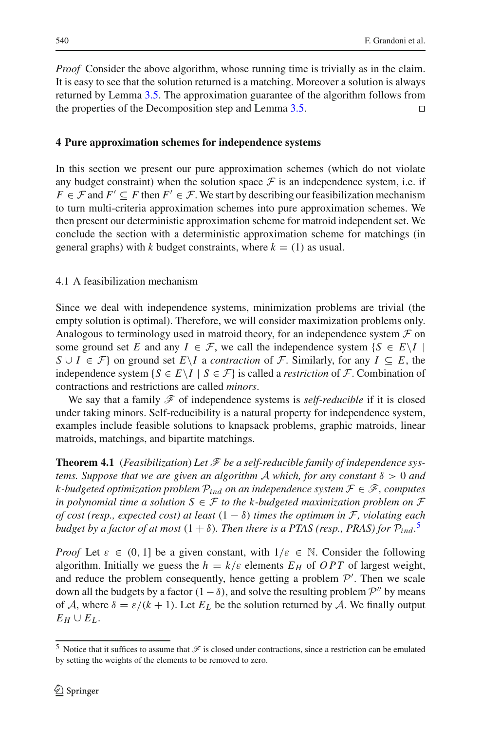*Proof* Consider the above algorithm, whose running time is trivially as in the claim. It is easy to see that the solution returned is a matching. Moreover a solution is always returned by Lemma [3.5.](#page-13-0) The approximation guarantee of the algorithm follows from the properties of the Decomposition step and Lemma  $3.5$ .

# <span id="page-15-0"></span>**4 Pure approximation schemes for independence systems**

In this section we present our pure approximation schemes (which do not violate any budget constraint) when the solution space  $\mathcal F$  is an independence system, i.e. if  $F \in \mathcal{F}$  and  $F' \subseteq F$  then  $F' \in \mathcal{F}$ . We start by describing our feasibilization mechanism to turn multi-criteria approximation schemes into pure approximation schemes. We then present our deterministic approximation scheme for matroid independent set. We conclude the section with a deterministic approximation scheme for matchings (in general graphs) with *k* budget constraints, where  $k = (1)$  as usual.

# 4.1 A feasibilization mechanism

Since we deal with independence systems, minimization problems are trivial (the empty solution is optimal). Therefore, we will consider maximization problems only. Analogous to terminology used in matroid theory, for an independence system  $\mathcal F$  on some ground set *E* and any  $I \in \mathcal{F}$ , we call the independence system  $\{S \in E\setminus I \mid$ *S* ∪ *I* ∈ *F*} on ground set *E*\*I* a *contraction* of *F*. Similarly, for any *I* ⊆ *E*, the independence system  $\{S \in E \setminus I \mid S \in \mathcal{F}\}\$ is called a *restriction* of *F*. Combination of contractions and restrictions are called *minors*.

We say that a family *F* of independence systems is *self-reducible* if it is closed under taking minors. Self-reducibility is a natural property for independence system, examples include feasible solutions to knapsack problems, graphic matroids, linear matroids, matchings, and bipartite matchings.

**Theorem 4.1** (*Feasibilization*) *Let F be a self-reducible family of independence systems. Suppose that we are given an algorithm A which, for any constant*  $\delta > 0$  *and k*-budgeted optimization problem  $P_{ind}$  on an independence system  $F \in \mathcal{F}$ , computes *in polynomial time a solution*  $S \in \mathcal{F}$  *to the k-budgeted maximization problem on*  $\mathcal{F}$ *of cost (resp., expected cost) at least* (1 − δ) *times the optimum in F, violating each budget by a factor of at most*  $(1 + \delta)$ *. Then there is a PTAS (resp., PRAS) for*  $\mathcal{P}_{ind}$ <sup>[5](#page-15-1)</sup>

*Proof* Let  $\varepsilon \in (0, 1]$  be a given constant, with  $1/\varepsilon \in \mathbb{N}$ . Consider the following algorithm. Initially we guess the  $h = k/\varepsilon$  elements  $E_H$  of *OPT* of largest weight, and reduce the problem consequently, hence getting a problem  $\mathcal{P}'$ . Then we scale down all the budgets by a factor  $(1 - \delta)$ , and solve the resulting problem *P*<sup>"</sup> by means of *A*, where  $\delta = \varepsilon/(k+1)$ . Let  $E_L$  be the solution returned by *A*. We finally output  $E_H \cup E_L$ .

<span id="page-15-1"></span><sup>&</sup>lt;sup>5</sup> Notice that it suffices to assume that  $\mathscr F$  is closed under contractions, since a restriction can be emulated by setting the weights of the elements to be removed to zero.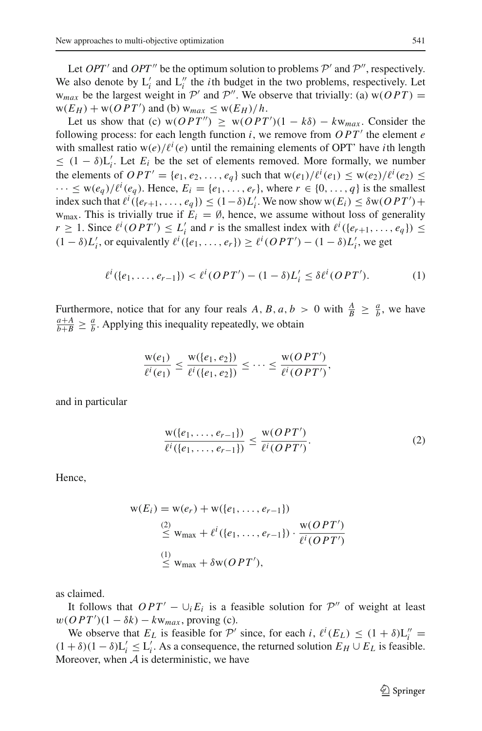Let *OPT'* and *OPT''* be the optimum solution to problems  $P'$  and  $P''$ , respectively. We also denote by  $L'_i$  and  $L''_i$  the *i*th budget in the two problems, respectively. Let  $w_{max}$  be the largest weight in *P*<sup>'</sup> and *P*<sup>''</sup>. We observe that trivially: (a) w(*OPT*) =  $w(E_H) + w(OPT')$  and (b)  $w_{max} \leq w(E_H)/h$ .

Let us show that (c)  $w(OPT'') \ge w(OPT')(1 - k\delta) - k w_{max}$ . Consider the following process: for each length function  $i$ , we remove from  $OPT'$  the element  $e$ with smallest ratio  $w(e)/\ell^{i}(e)$  until the remaining elements of OPT' have *i*th length  $\leq (1 - \delta)L'_i$ . Let  $E_i$  be the set of elements removed. More formally, we number the elements of  $OPT' = \{e_1, e_2, \dots, e_q\}$  such that  $w(e_1)/\ell^i(e_1) \leq w(e_2)/\ell^i(e_2) \leq$  $\cdots \leq w(e_q)/\ell^{i}(e_q)$ . Hence,  $E_i = \{e_1, \ldots, e_r\}$ , where  $r \in \{0, \ldots, q\}$  is the smallest index such that  $\ell^i$  ( $\{e_{r+1},...,e_q\}$ )  $\leq (1-\delta)L'_i$ . We now show w( $E_i$ )  $\leq \delta w(OPT')$  +  $w_{\text{max}}$ . This is trivially true if  $E_i = \emptyset$ , hence, we assume without loss of generality  $r \geq 1$ . Since  $\ell^i$  (*OPT'*)  $\leq L'_i$  and *r* is the smallest index with  $\ell^i$  ({*e<sub>r+1</sub>,..., e<sub>q</sub>}*)  $\leq$  $(1 - \delta)L'_i$ , or equivalently  $\ell^i$  ({ $e_1, ..., e_r$ }) ≥  $\ell^i$  (*OPT'*) − (1 −  $\delta$ ) $L'_i$ , we get

$$
\ell^i(\{e_1, \ldots, e_{r-1}\}) < \ell^i \left(\mathit{OPT}'\right) - (1 - \delta)L'_i \leq \delta \ell^i \left(\mathit{OPT}'\right). \tag{1}
$$

Furthermore, notice that for any four reals *A*, *B*, *a*, *b* > 0 with  $\frac{A}{B} \geq \frac{a}{b}$ , we have  $\frac{a+A}{b} > \frac{a}{b}$ . Applying this inequality repeatedly we obtain  $\frac{a+A}{b+B} \geq \frac{a}{b}$ . Applying this inequality repeatedly, we obtain

$$
\frac{w(e_1)}{\ell^i(e_1)} \le \frac{w(\{e_1, e_2\})}{\ell^i(\{e_1, e_2\})} \le \cdots \le \frac{w(OPT')}{\ell^i(OPT')},
$$

and in particular

$$
\frac{w(\{e_1, \ldots, e_{r-1}\})}{\ell^i(\{e_1, \ldots, e_{r-1}\})} \le \frac{w(OPT')}{\ell^i(OPT')}.
$$
\n(2)

Hence,

$$
w(E_i) = w(e_r) + w(\lbrace e_1, \ldots, e_{r-1} \rbrace)
$$
  
\n
$$
\stackrel{(2)}{\leq} w_{\text{max}} + \ell^i(\lbrace e_1, \ldots, e_{r-1} \rbrace) \cdot \frac{w(OPT')}{\ell^i(OPT')}
$$
  
\n
$$
\stackrel{(1)}{\leq} w_{\text{max}} + \delta w(OPT'),
$$

as claimed.

It follows that  $OPT' - \bigcup_i E_i$  is a feasible solution for  $\mathcal{P}''$  of weight at least  $w(OPT')(1 - \delta k) - k w_{max}$ , proving (c).

We observe that  $E_L$  is feasible for  $\mathcal{P}'$  since, for each *i*,  $\ell^i(E_L) \leq (1 + \delta)L''_i$  $(1 + \delta)(1 - \delta)L'_i \leq L'_i$ . As a consequence, the returned solution  $E_H \cup E_L$  is feasible. Moreover, when *A* is deterministic, we have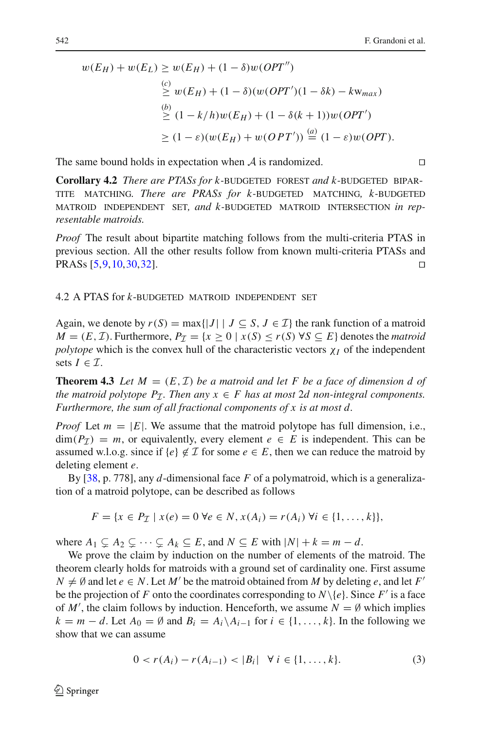$$
w(E_H) + w(E_L) \ge w(E_H) + (1 - \delta)w(OPT'')
$$
  
\n
$$
\ge w(E_H) + (1 - \delta)(w(OPT')(1 - \delta k) - k w_{max})
$$
  
\n
$$
\ge (1 - k/h)w(E_H) + (1 - \delta(k+1))w(OPT')
$$
  
\n
$$
\ge (1 - \varepsilon)(w(E_H) + w(OPT')) \stackrel{(a)}{=} (1 - \varepsilon)w(OPT').
$$

The same bound holds in expectation when *A* is randomized.

**Corollary 4.2** *There are PTASs for k-*budgeted forest *and k-*budgeted bipartite matching*. There are PRASs for k-*budgeted matching*, k-*budgeted matroid independent set*, and k-*budgeted matroid intersection *in representable matroids.*

*Proof* The result about bipartite matching follows from the multi-criteria PTAS in previous section. All the other results follow from known multi-criteria PTASs and **PRASs** [\[5](#page-28-3),[9,](#page-28-4)[10](#page-28-5)[,30](#page-29-11)[,32](#page-29-9)].

# 4.2 A PTAS for *k*-budgeted matroid independent set

Again, we denote by  $r(S) = \max\{|J| | J \subseteq S, J \in \mathcal{I}\}\)$  the rank function of a matroid *M* = (*E*, *I*). Furthermore,  $P$ <sup>*I*</sup> = { $x \ge 0$  |  $x(S) \le r(S)$  ∀*S* ⊆ *E*} denotes the *matroid polytope* which is the convex hull of the characteristic vectors  $\chi$ <sup>*I*</sup> of the independent sets  $I \in \mathcal{I}$ .

<span id="page-17-1"></span>**Theorem 4.3** Let  $M = (E, \mathcal{I})$  be a matroid and let F be a face of dimension d of *the matroid polytope*  $P_{\mathcal{I}}$ *. Then any*  $x \in F$  *has at most* 2*d non-integral components. Furthermore, the sum of all fractional components of x is at most d.*

*Proof* Let  $m = |E|$ . We assume that the matroid polytope has full dimension, i.e.,  $\dim(P_T) = m$ , or equivalently, every element  $e \in E$  is independent. This can be assumed w.l.o.g. since if  $\{e\} \notin \mathcal{I}$  for some  $e \in E$ , then we can reduce the matroid by deleting element *e*.

By [\[38](#page-29-10), p. 778], any *d*-dimensional face *F* of a polymatroid, which is a generalization of a matroid polytope, can be described as follows

$$
F = \{x \in P_{\mathcal{I}} \mid x(e) = 0 \,\forall e \in N, x(A_i) = r(A_i) \,\forall i \in \{1, ..., k\}\},\
$$

where  $A_1 \subsetneq A_2 \subsetneq \cdots \subsetneq A_k \subseteq E$ , and  $N \subseteq E$  with  $|N| + k = m - d$ .

We prove the claim by induction on the number of elements of the matroid. The theorem clearly holds for matroids with a ground set of cardinality one. First assume  $N \neq \emptyset$  and let  $e \in N$ . Let *M'* be the matroid obtained from *M* by deleting *e*, and let *F'* be the projection of *F* onto the coordinates corresponding to  $N\{e\}$ . Since *F'* is a face of  $M'$ , the claim follows by induction. Henceforth, we assume  $N = \emptyset$  which implies  $k = m - d$ . Let  $A_0 = \emptyset$  and  $B_i = A_i \setminus A_{i-1}$  for  $i \in \{1, \ldots, k\}$ . In the following we show that we can assume

<span id="page-17-0"></span>
$$
0 < r(A_i) - r(A_{i-1}) < |B_i| \quad \forall \ i \in \{1, \dots, k\}. \tag{3}
$$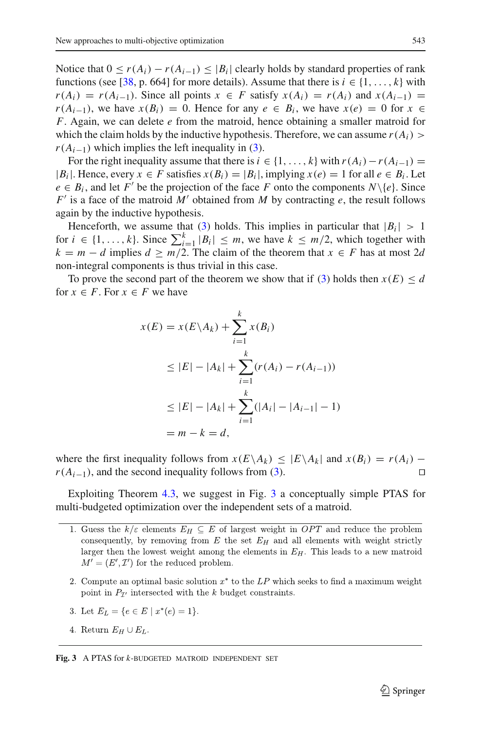Notice that  $0 \le r(A_i) - r(A_{i-1}) \le |B_i|$  clearly holds by standard properties of rank functions (see [\[38,](#page-29-10) p. 664] for more details). Assume that there is  $i \in \{1, \ldots, k\}$  with *r*(*A<sub>i</sub>*) = *r*(*A<sub>i−1</sub>*). Since all points *x* ∈ *F* satisfy *x*(*A<sub>i</sub>*) = *r*(*A<sub>i</sub>*) and *x*(*A<sub>i−1</sub>*) = *r*( $A_{i-1}$ ), we have *x*( $B_i$ ) = 0. Hence for any *e* ∈  $B_i$ , we have *x*(*e*) = 0 for *x* ∈ *F*. Again, we can delete *e* from the matroid, hence obtaining a smaller matroid for which the claim holds by the inductive hypothesis. Therefore, we can assume  $r(A_i)$  $r(A_{i-1})$  which implies the left inequality in [\(3\)](#page-17-0).

For the right inequality assume that there is  $i \in \{1, \ldots, k\}$  with  $r(A_i) - r(A_{i-1}) =$  $|B_i|$ . Hence, every  $x \in F$  satisfies  $x(B_i) = |B_i|$ , implying  $x(e) = 1$  for all  $e \in B_i$ . Let *e* ∈ *B*<sub>*i*</sub>, and let *F*<sup> $\prime$ </sup> be the projection of the face *F* onto the components *N*\{*e*}. Since  $F'$  is a face of the matroid  $M'$  obtained from  $M$  by contracting  $e$ , the result follows again by the inductive hypothesis.

Henceforth, we assume that [\(3\)](#page-17-0) holds. This implies in particular that  $|B_i| > 1$ for  $i \in \{1, ..., k\}$ . Since  $\sum_{i=1}^{k} |B_i| \leq m$ , we have  $k \leq m/2$ , which together with  $k = m - d$  implies  $d \geq m/2$ . The claim of the theorem that  $x \in F$  has at most 2*d* non-integral components is thus trivial in this case.

To prove the second part of the theorem we show that if [\(3\)](#page-17-0) holds then  $x(E) \leq d$ for  $x \in F$ . For  $x \in F$  we have

$$
x(E) = x(E \setminus A_k) + \sum_{i=1}^{k} x(B_i)
$$
  
\n
$$
\leq |E| - |A_k| + \sum_{i=1}^{k} (r(A_i) - r(A_{i-1}))
$$
  
\n
$$
\leq |E| - |A_k| + \sum_{i=1}^{k} (|A_i| - |A_{i-1}| - 1)
$$
  
\n
$$
= m - k = d,
$$

where the first inequality follows from  $x(E\setminus A_k) \leq |E\setminus A_k|$  and  $x(B_i) = r(A_i)$  –  $r(A_{i-1})$ , and the second inequality follows from [\(3\)](#page-17-0).

Exploiting Theorem [4.3,](#page-17-1) we suggest in Fig. [3](#page-18-0) a conceptually simple PTAS for multi-budgeted optimization over the independent sets of a matroid.

2. Compute an optimal basic solution  $x^*$  to the LP which seeks to find a maximum weight point in  $P_{\mathcal{I}}$  intersected with the k budget constraints.

3. Let 
$$
E_L = \{e \in E \mid x^*(e) = 1\}.
$$

<span id="page-18-0"></span>4. Return  $E_H \cup E_L$ .

<sup>1.</sup> Guess the  $k/\varepsilon$  elements  $E_H \subseteq E$  of largest weight in *OPT* and reduce the problem consequently, by removing from  $E$  the set  $E_H$  and all elements with weight strictly larger then the lowest weight among the elements in  $E_H$ . This leads to a new matroid  $M' = (E', \mathcal{I}')$  for the reduced problem.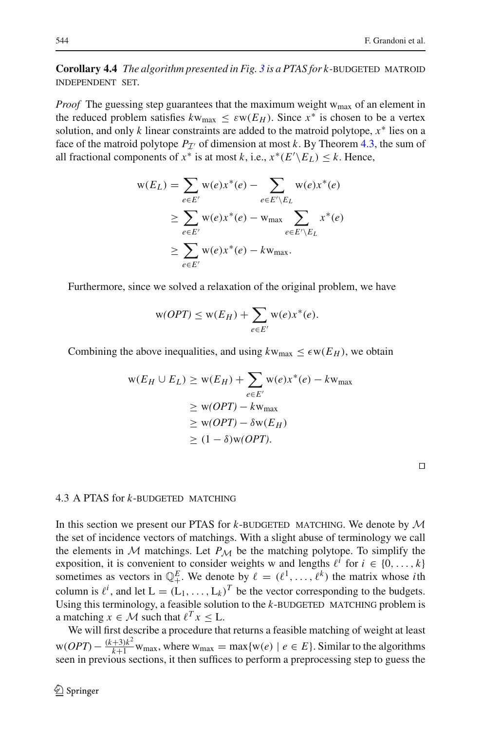**Corollary 4.4** *The algorithm presented in Fig. [3](#page-18-0) is a PTAS for k-BUDGETED MATROID* independent set*.*

*Proof* The guessing step guarantees that the maximum weight w<sub>max</sub> of an element in the reduced problem satisfies  $kw_{\text{max}} \leq \varepsilon w(E_H)$ . Since  $x^*$  is chosen to be a vertex solution, and only  $k$  linear constraints are added to the matroid polytope,  $x^*$  lies on a face of the matroid polytope  $P_{\mathcal{I}}$  of dimension at most *k*. By Theorem [4.3,](#page-17-1) the sum of all fractional components of  $x^*$  is at most  $k$ , i.e.,  $x^*(E' \backslash E_L) \leq k$ . Hence,

$$
w(E_L) = \sum_{e \in E'} w(e)x^*(e) - \sum_{e \in E' \setminus E_L} w(e)x^*(e)
$$
  
\n
$$
\geq \sum_{e \in E'} w(e)x^*(e) - w_{\text{max}} \sum_{e \in E' \setminus E_L} x^*(e)
$$
  
\n
$$
\geq \sum_{e \in E'} w(e)x^*(e) - kw_{\text{max}}.
$$

Furthermore, since we solved a relaxation of the original problem, we have

$$
w(OPT) \le w(E_H) + \sum_{e \in E'} w(e) x^*(e).
$$

Combining the above inequalities, and using  $k w_{\text{max}} \leq \epsilon w(E_H)$ , we obtain

$$
w(E_H \cup E_L) \ge w(E_H) + \sum_{e \in E'} w(e)x^*(e) - kw_{\text{max}}
$$
  
\n
$$
\ge w(OPT) - kw_{\text{max}}
$$
  
\n
$$
\ge w(OPT) - \delta w(E_H)
$$
  
\n
$$
\ge (1 - \delta)w(OPT).
$$

 $\Box$ 

# 4.3 A PTAS for *k*-budgeted matching

In this section we present our PTAS for  $k$ -BUDGETED MATCHING. We denote by  $M$ the set of incidence vectors of matchings. With a slight abuse of terminology we call the elements in  $M$  matchings. Let  $P_M$  be the matching polytope. To simplify the exposition, it is convenient to consider weights w and lengths  $\ell^i$  for  $i \in \{0, \ldots, k\}$ sometimes as vectors in  $\mathbb{Q}_+^E$ . We denote by  $\ell = (\ell^1, \ldots, \ell^k)$  the matrix whose *i*th column is  $\ell^i$ , and let  $L = (L_1, ..., L_k)^T$  be the vector corresponding to the budgets. Using this terminology, a feasible solution to the  $k$ -BUDGETED MATCHING problem is a matching  $x \in \mathcal{M}$  such that  $\ell^T x \leq L$ .

We will first describe a procedure that returns a feasible matching of weight at least  $w(OPT) - \frac{(k+3)k^2}{k+1} w_{\text{max}}$ , where  $w_{\text{max}} = \max\{w(e) \mid e \in E\}$ . Similar to the algorithms seen in previous sections, it then suffices to perform a preprocessing step to guess the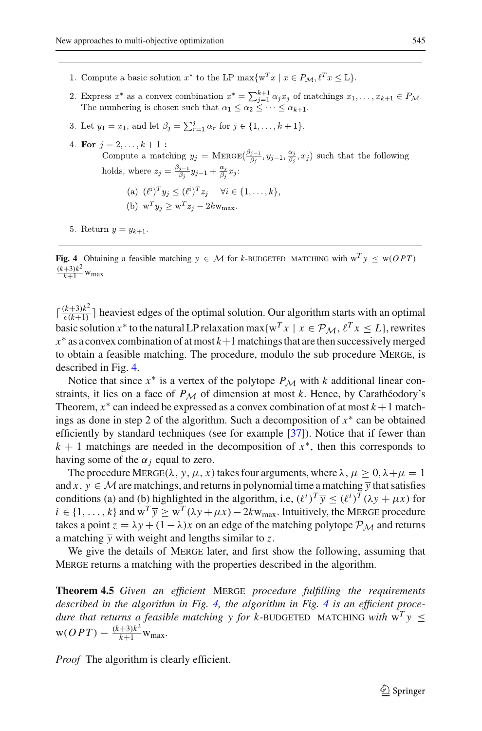- 1. Compute a basic solution  $x^*$  to the LP max $\{w^T x \mid x \in P_{\mathcal{M}}, \ell^T x \leq L\}.$
- 2. Express  $x^*$  as a convex combination  $x^* = \sum_{j=1}^{k+1} \alpha_j x_j$  of matchings  $x_1, \ldots, x_{k+1} \in P_{\mathcal{M}}$ .<br>The numbering is chosen such that  $\alpha_1 \leq \alpha_2 \leq \cdots \leq \alpha_{k+1}$ .
- 3. Let  $y_1 = x_1$ , and let  $\beta_j = \sum_{r=1}^j \alpha_r$  for  $j \in \{1, ..., k+1\}$ .
- 4. For  $j = 2, ..., k + 1$ : Compute a matching  $y_j = \text{MERGE}(\frac{\beta_{j-1}}{\beta_i}, y_{j-1}, \frac{\alpha_j}{\beta_i}, x_j)$  such that the following holds, where  $z_j = \frac{\beta_{j-1}}{\beta_i} y_{j-1} + \frac{\alpha_j}{\beta_i} x_j$ :
	- (a)  $(\ell^i)^T y_i \leq (\ell^i)^T z_i \quad \forall i \in \{1, ..., k\},\$ (b)  $w^T y_i > w^T z_i - 2k w_{\text{max}}$ .
- 5. Return  $y = y_{k+1}$ .

<span id="page-20-0"></span>**Fig. 4** Obtaining a feasible matching  $y \in M$  for *k*-BUDGETED MATCHING with  $w^T y \leq w(OPT) \frac{(k+3)k^2}{k+1}$  w<sub>max</sub>

 $\lceil \frac{(k+3)k^2}{\epsilon(k+1)} \rceil$  heaviest edges of the optimal solution. Our algorithm starts with an optimal basic solution *x*<sup>\*</sup> to the natural LP relaxation max { $w^T x \mid x \in P_M$ ,  $e^T x \le L$ }, rewrites  $x^*$  as a convex combination of at most  $k+1$  matchings that are then successively merged to obtain a feasible matching. The procedure, modulo the sub procedure Merge, is described in Fig. [4.](#page-20-0)

Notice that since  $x^*$  is a vertex of the polytope  $P_M$  with *k* additional linear constraints, it lies on a face of  $P_M$  of dimension at most *k*. Hence, by Carathéodory's Theorem,  $x^*$  can indeed be expressed as a convex combination of at most  $k+1$  matchings as done in step 2 of the algorithm. Such a decomposition of *x*<sup>∗</sup> can be obtained efficiently by standard techniques (see for example [\[37](#page-29-22)]). Notice that if fewer than  $k + 1$  matchings are needed in the decomposition of  $x^*$ , then this corresponds to having some of the  $\alpha_i$  equal to zero.

The procedure MERGE( $\lambda$ , *y*,  $\mu$ , *x*) takes four arguments, where  $\lambda$ ,  $\mu \geq 0$ ,  $\lambda + \mu = 1$ and *x*,  $y \in M$  are matchings, and returns in polynomial time a matching  $\overline{y}$  that satisfies conditions (a) and (b) highlighted in the algorithm, i.e,  $(\ell^i)^T \overline{y} \leq (\ell^i)^T (\lambda y + \mu x)$  for  $i \in \{1, \ldots, k\}$  and  $w^T \overline{y} \geq w^T (\lambda y + \mu x) - 2k w_{\text{max}}$ . Intuitively, the MERGE procedure takes a point  $z = \lambda y + (1 - \lambda)x$  on an edge of the matching polytope  $\mathcal{P}_M$  and returns a matching  $\overline{y}$  with weight and lengths similar to *z*.

<span id="page-20-1"></span>We give the details of Merge later, and first show the following, assuming that MERGE returns a matching with the properties described in the algorithm.

**Theorem 4.5** *Given an efficient* Merge *procedure fulfilling the requirements described in the algorithm in Fig. [4,](#page-20-0) the algorithm in Fig. [4](#page-20-0) is an efficient procedure that returns a feasible matching y for k-BUDGETED MATCHING with*  $w^T y \leq$  $w(OPT) - \frac{(k+3)k^2}{k+1} w_{\text{max}}.$ 

*Proof* The algorithm is clearly efficient.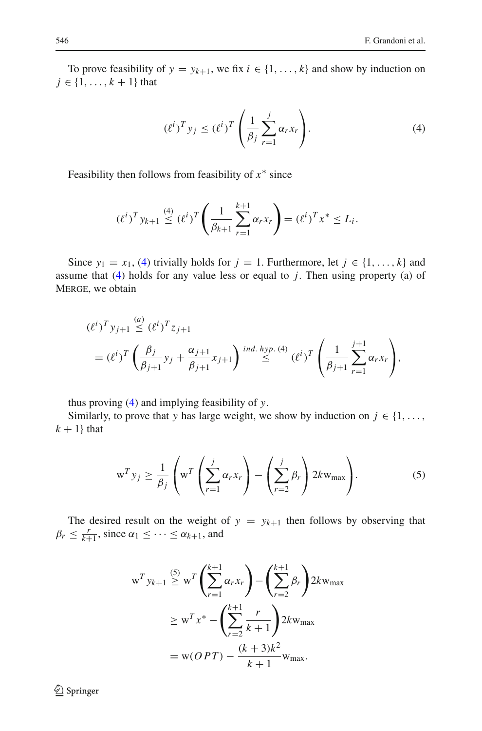To prove feasibility of  $y = y_{k+1}$ , we fix  $i \in \{1, ..., k\}$  and show by induction on  $j \in \{1, ..., k + 1\}$  that

$$
(\ell^i)^T y_j \leq (\ell^i)^T \left( \frac{1}{\beta_j} \sum_{r=1}^j \alpha_r x_r \right). \tag{4}
$$

<span id="page-21-0"></span>Feasibility then follows from feasibility of *x*<sup>∗</sup> since

$$
(\ell^i)^T y_{k+1} \stackrel{(4)}{\leq} (\ell^i)^T \left( \frac{1}{\beta_{k+1}} \sum_{r=1}^{k+1} \alpha_r x_r \right) = (\ell^i)^T x^* \leq L_i.
$$

Since  $y_1 = x_1$ , [\(4\)](#page-21-0) trivially holds for  $j = 1$ . Furthermore, let  $j \in \{1, ..., k\}$  and assume that [\(4\)](#page-21-0) holds for any value less or equal to *j*. Then using property (a) of MERGE, we obtain

$$
\begin{aligned} (\ell^i)^T y_{j+1} &\stackrel{(a)}{\leq} (\ell^i)^T z_{j+1} \\ & = (\ell^i)^T \left( \frac{\beta_j}{\beta_{j+1}} y_j + \frac{\alpha_{j+1}}{\beta_{j+1}} x_{j+1} \right)^{ind. \; hyp. \; (4)} \left( \ell^i \right)^T \left( \frac{1}{\beta_{j+1}} \sum_{r=1}^{j+1} \alpha_r x_r \right), \end{aligned}
$$

thus proving [\(4\)](#page-21-0) and implying feasibility of *y*.

Similarly, to prove that *y* has large weight, we show by induction on  $j \in \{1, \ldots,$  $k + 1$ } that

$$
\mathbf{w}^T \mathbf{y}_j \ge \frac{1}{\beta_j} \left( \mathbf{w}^T \left( \sum_{r=1}^j \alpha_r x_r \right) - \left( \sum_{r=2}^j \beta_r \right) 2k \mathbf{w}_{\text{max}} \right).
$$
 (5)

<span id="page-21-1"></span>The desired result on the weight of  $y = y_{k+1}$  then follows by observing that  $\beta_r \leq \frac{r}{k+1}$ , since  $\alpha_1 \leq \cdots \leq \alpha_{k+1}$ , and

$$
w^{T} y_{k+1} \stackrel{(5)}{\geq} w^{T} \left( \sum_{r=1}^{k+1} \alpha_{r} x_{r} \right) - \left( \sum_{r=2}^{k+1} \beta_{r} \right) 2k w_{\text{max}}
$$

$$
\geq w^{T} x^{*} - \left( \sum_{r=2}^{k+1} \frac{r}{k+1} \right) 2k w_{\text{max}}
$$

$$
= w(OPT) - \frac{(k+3)k^{2}}{k+1} w_{\text{max}}.
$$

<sup>2</sup> Springer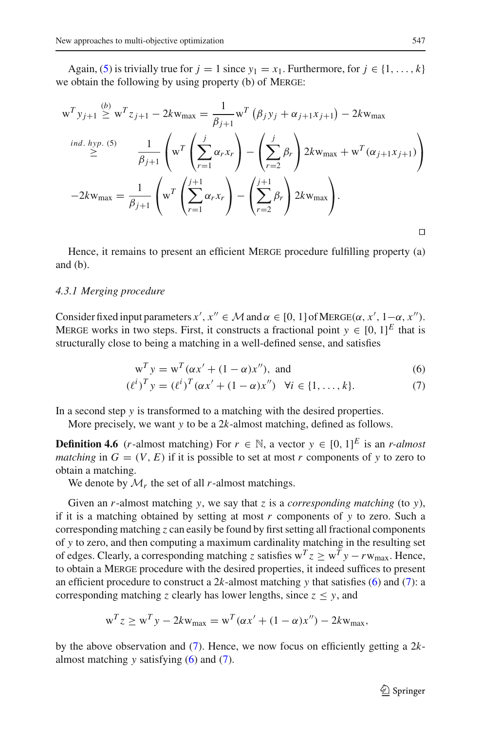Again, [\(5\)](#page-21-1) is trivially true for  $j = 1$  since  $y_1 = x_1$ . Furthermore, for  $j \in \{1, ..., k\}$ we obtain the following by using property (b) of MERGE:

$$
w^{T} y_{j+1} \stackrel{(b)}{\geq} w^{T} z_{j+1} - 2kw_{\text{max}} = \frac{1}{\beta_{j+1}} w^{T} (\beta_{j} y_{j} + \alpha_{j+1} x_{j+1}) - 2kw_{\text{max}}
$$
  
\n
$$
\stackrel{ind. hyp. (5)}{\geq} \frac{1}{\beta_{j+1}} \left( w^{T} \left( \sum_{r=1}^{j} \alpha_{r} x_{r} \right) - \left( \sum_{r=2}^{j} \beta_{r} \right) 2kw_{\text{max}} + w^{T} (\alpha_{j+1} x_{j+1}) \right)
$$
  
\n
$$
-2kw_{\text{max}} = \frac{1}{\beta_{j+1}} \left( w^{T} \left( \sum_{r=1}^{j+1} \alpha_{r} x_{r} \right) - \left( \sum_{r=2}^{j+1} \beta_{r} \right) 2kw_{\text{max}} \right).
$$

Hence, it remains to present an efficient Merge procedure fulfilling property (a) and (b).

### *4.3.1 Merging procedure*

Consider fixed input parameters  $x'$ ,  $x'' \in M$  and  $\alpha \in [0, 1]$  of MERGE( $\alpha, x'$ ,  $1-\alpha, x''$ ). MERGE works in two steps. First, it constructs a fractional point  $y \in [0, 1]^E$  that is structurally close to being a matching in a well-defined sense, and satisfies

$$
w^T y = w^T (\alpha x' + (1 - \alpha)x''), \text{ and } (6)
$$

$$
(\ell^i)^T y = (\ell^i)^T (\alpha x' + (1 - \alpha)x'') \quad \forall i \in \{1, ..., k\}.
$$
 (7)

<span id="page-22-0"></span>In a second step *y* is transformed to a matching with the desired properties.

More precisely, we want *y* to be a 2*k*-almost matching, defined as follows.

**Definition 4.6** (*r*-almost matching) For  $r \in \mathbb{N}$ , a vector  $y \in [0, 1]^E$  is an *r-almost matching* in  $G = (V, E)$  if it is possible to set at most *r* components of *y* to zero to obtain a matching.

We denote by  $\mathcal{M}_r$  the set of all *r*-almost matchings.

Given an *r*-almost matching *y*, we say that *z* is a *corresponding matching* (to *y*), if it is a matching obtained by setting at most *r* components of *y* to zero. Such a corresponding matching *z* can easily be found by first setting all fractional components of *y* to zero, and then computing a maximum cardinality matching in the resulting set of edges. Clearly, a corresponding matching *z* satisfies  $w^T z \ge w^T y - r w_{\text{max}}$ . Hence, to obtain a Merge procedure with the desired properties, it indeed suffices to present an efficient procedure to construct a 2*k*-almost matching *y* that satisfies [\(6\)](#page-22-0) and [\(7\)](#page-22-0): a corresponding matching *z* clearly has lower lengths, since  $z \leq y$ , and

$$
w^T z \ge w^T y - 2kw_{\text{max}} = w^T(\alpha x' + (1 - \alpha)x'') - 2kw_{\text{max}},
$$

by the above observation and [\(7\)](#page-22-0). Hence, we now focus on efficiently getting a 2*k*almost matching *y* satisfying [\(6\)](#page-22-0) and [\(7\)](#page-22-0).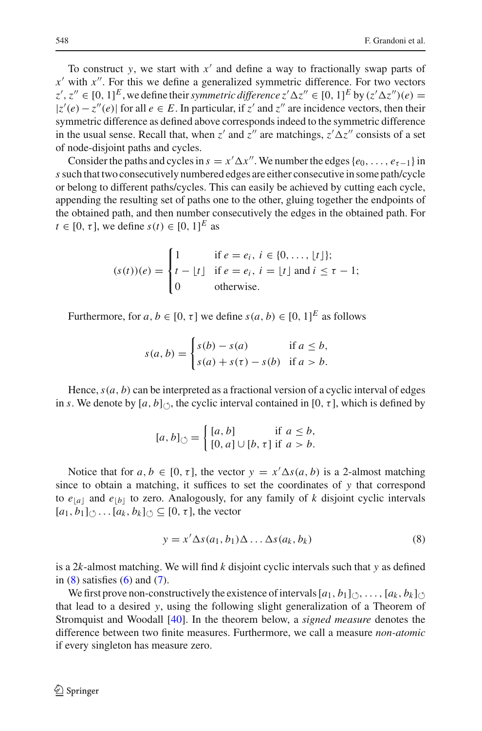To construct *y*, we start with  $x'$  and define a way to fractionally swap parts of *x* with *x* . For this we define a generalized symmetric difference. For two vectors  $z', z'' \in [0, 1]^E$ , we define their *symmetric difference*  $z' \Delta z'' \in [0, 1]^E$  by  $(z' \Delta z'') (e) =$ |*z*'(*e*) − *z*"(*e*)| for all *e* ∈ *E*. In particular, if *z*' and *z*" are incidence vectors, then their symmetric difference as defined above corresponds indeed to the symmetric difference in the usual sense. Recall that, when  $z'$  and  $z''$  are matchings,  $z' \Delta z''$  consists of a set of node-disjoint paths and cycles.

Consider the paths and cycles in  $s = x' \Delta x''$ . We number the edges { $e_0, \ldots, e_{\tau-1}$ } in *s* such that two consecutively numbered edges are either consecutive in some path/cycle or belong to different paths/cycles. This can easily be achieved by cutting each cycle, appending the resulting set of paths one to the other, gluing together the endpoints of the obtained path, and then number consecutively the edges in the obtained path. For  $t \in [0, \tau]$ , we define  $s(t) \in [0, 1]^E$  as

$$
(s(t))(e) = \begin{cases} 1 & \text{if } e = e_i, i \in \{0, \dots, \lfloor t \rfloor\}; \\ t - \lfloor t \rfloor & \text{if } e = e_i, i = \lfloor t \rfloor \text{ and } i \leq \tau - 1; \\ 0 & \text{otherwise.} \end{cases}
$$

Furthermore, for  $a, b \in [0, \tau]$  we define  $s(a, b) \in [0, 1]^E$  as follows

$$
s(a,b) = \begin{cases} s(b) - s(a) & \text{if } a \le b, \\ s(a) + s(\tau) - s(b) & \text{if } a > b. \end{cases}
$$

Hence,*s*(*a*, *b*) can be interpreted as a fractional version of a cyclic interval of edges in *s*. We denote by  $[a, b]$ , the cyclic interval contained in  $[0, \tau]$ , which is defined by

$$
[a, b]_{\circlearrowleft} = \begin{cases} [a, b] & \text{if } a \leq b, \\ [0, a] \cup [b, \tau] & \text{if } a > b. \end{cases}
$$

Notice that for  $a, b \in [0, \tau]$ , the vector  $y = x' \Delta s(a, b)$  is a 2-almost matching since to obtain a matching, it suffices to set the coordinates of *y* that correspond to  $e_{|a|}$  and  $e_{|b|}$  to zero. Analogously, for any family of *k* disjoint cyclic intervals  $[a_1, b_1]$   $\circ$   $\ldots$   $[a_k, b_k]$   $\circ$   $\subseteq$   $[0, \tau]$ , the vector

$$
y = x' \Delta s(a_1, b_1) \Delta \dots \Delta s(a_k, b_k)
$$
 (8)

<span id="page-23-0"></span>is a 2*k*-almost matching. We will find *k* disjoint cyclic intervals such that *y* as defined in  $(8)$  satisfies  $(6)$  and  $(7)$ .

<span id="page-23-1"></span>We first prove non-constructively the existence of intervals  $[a_1, b_1]$   $\circ$ ,  $\dots$ ,  $[a_k, b_k]$ that lead to a desired *y*, using the following slight generalization of a Theorem of Stromquist and Woodall [\[40\]](#page-29-23). In the theorem below, a *signed measure* denotes the difference between two finite measures. Furthermore, we call a measure *non-atomic* if every singleton has measure zero.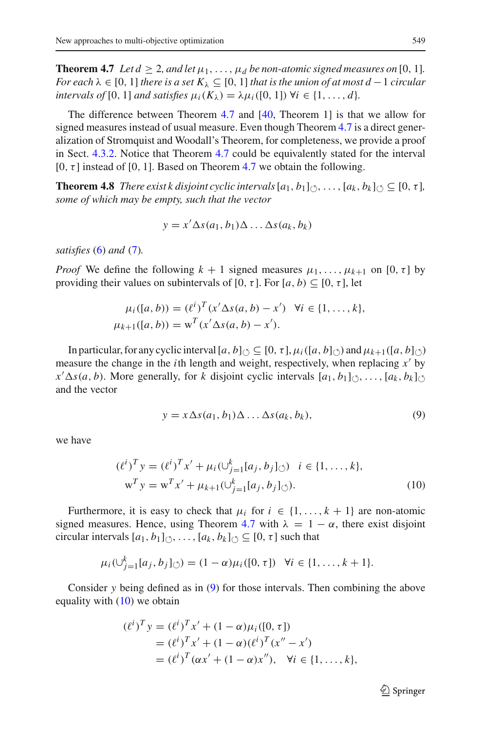**Theorem 4.7** Let  $d \geq 2$ , and let  $\mu_1, \ldots, \mu_d$  be non-atomic signed measures on [0, 1]. *For each*  $\lambda \in [0, 1]$  *there is a set*  $K_{\lambda} \subseteq [0, 1]$  *that is the union of at most d* − 1 *circular intervals of* [0, 1] *and satisfies*  $\mu_i(K_\lambda) = \lambda \mu_i([0, 1])$   $\forall i \in \{1, ..., d\}$ *.* 

The difference between Theorem [4.7](#page-23-1) and [\[40,](#page-29-23) Theorem 1] is that we allow for signed measures instead of usual measure. Even though Theorem [4.7](#page-23-1) is a direct generalization of Stromquist and Woodall's Theorem, for completeness, we provide a proof in Sect. [4.3.2.](#page-26-0) Notice that Theorem [4.7](#page-23-1) could be equivalently stated for the interval [0,  $\tau$ ] instead of [0, 1]. Based on Theorem [4.7](#page-23-1) we obtain the following.

<span id="page-24-2"></span>**Theorem 4.8** *There exist k disjoint cyclic intervals*  $[a_1, b_1]$   $\circ$ ,  $\dots$ ,  $[a_k, b_k]$   $\circ$   $\subseteq$   $[0, \tau]$ *, some of which may be empty, such that the vector*

$$
y = x' \Delta s(a_1, b_1) \Delta \dots \Delta s(a_k, b_k)
$$

*satisfies* [\(6\)](#page-22-0) *and* [\(7\)](#page-22-0)*.*

*Proof* We define the following  $k + 1$  signed measures  $\mu_1, \ldots, \mu_{k+1}$  on [0, τ] by providing their values on subintervals of [0,  $\tau$ ]. For [a, b)  $\subseteq$  [0,  $\tau$ ], let

$$
\mu_i([a, b)) = (\ell^i)^T (x' \Delta s(a, b) - x') \quad \forall i \in \{1, ..., k\},
$$
  

$$
\mu_{k+1}([a, b)) = w^T (x' \Delta s(a, b) - x').
$$

In particular, for any cyclic interval  $[a, b]$   $\circ$   $\subseteq$   $[0, \tau]$ ,  $\mu_i([a, b]$  $\circ$ ) and  $\mu_{k+1}([a, b]$  $\circ$ ) measure the change in the *i*th length and weight, respectively, when replacing *x* by  $x' \Delta s(a, b)$ . More generally, for *k* disjoint cyclic intervals  $[a_1, b_1]$ <sub>○</sub>, ...,  $[a_k, b_k]$ <sub>○</sub> and the vector

$$
y = x \Delta s(a_1, b_1) \Delta \dots \Delta s(a_k, b_k), \tag{9}
$$

<span id="page-24-1"></span><span id="page-24-0"></span>we have

$$
(\ell^i)^T y = (\ell^i)^T x' + \mu_i (\cup_{j=1}^k [a_j, b_j] \circlearrowleft) \quad i \in \{1, ..., k\},
$$
  

$$
\mathbf{w}^T y = \mathbf{w}^T x' + \mu_{k+1} (\cup_{j=1}^k [a_j, b_j] \circlearrowleft). \tag{10}
$$

Furthermore, it is easy to check that  $\mu_i$  for  $i \in \{1, \ldots, k+1\}$  are non-atomic signed measures. Hence, using Theorem [4.7](#page-23-1) with  $\lambda = 1 - \alpha$ , there exist disjoint circular intervals  $[a_1, b_1]$ <sub> $\circlearrowleft$ </sub>, ...,  $[a_k, b_k]$ <sub> $\circlearrowleft$ </sub>  $\subseteq$  [0,  $\tau$ ] such that

$$
\mu_i(\cup_{j=1}^k [a_j, b_j]_{\circlearrowleft}) = (1 - \alpha)\mu_i([0, \tau]) \quad \forall i \in \{1, \ldots, k+1\}.
$$

Consider *y* being defined as in [\(9\)](#page-24-0) for those intervals. Then combining the above equality with  $(10)$  we obtain

$$
(\ell^i)^T y = (\ell^i)^T x' + (1 - \alpha) \mu_i([0, \tau])
$$
  
= 
$$
(\ell^i)^T x' + (1 - \alpha) (\ell^i)^T (x'' - x')
$$
  
= 
$$
(\ell^i)^T (\alpha x' + (1 - \alpha) x''), \quad \forall i \in \{1, ..., k\},
$$

 $\mathcal{D}$  Springer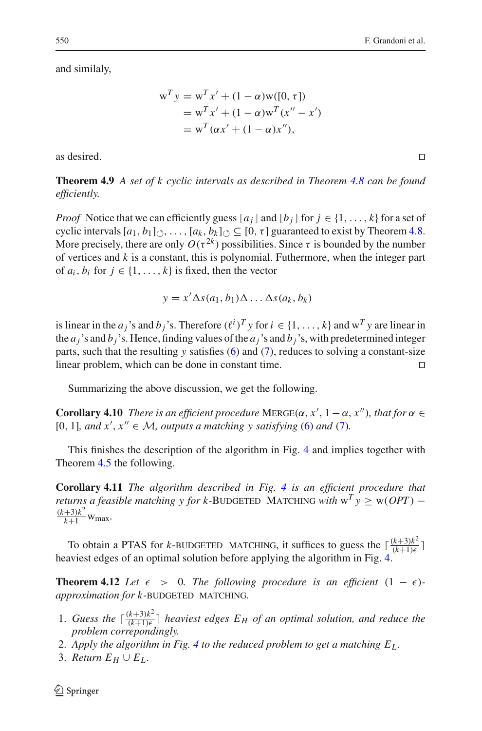and similaly,

$$
wT y = wT x' + (1 - \alpha) w([0, \tau])
$$
  
= w<sup>T</sup> x' + (1 - \alpha) w<sup>T</sup> (x'' - x')  
= w<sup>T</sup> (\alpha x' + (1 - \alpha) x''),

as desired.  $\Box$ 

<span id="page-25-0"></span>**Theorem 4.9** *A set of k cyclic intervals as described in Theorem [4.8](#page-24-2) can be found efficiently.*

*Proof* Notice that we can efficiently guess  $|a_i|$  and  $|b_j|$  for  $j \in \{1, ..., k\}$  for a set of cyclic intervals  $[a_1, b_1]_0, \ldots, [a_k, b_k]_0 \subseteq [0, \tau]$  guaranteed to exist by Theorem [4.8.](#page-24-2) More precisely, there are only  $O(\tau^{2k})$  possibilities. Since  $\tau$  is bounded by the number of vertices and *k* is a constant, this is polynomial. Futhermore, when the integer part of  $a_i$ ,  $b_i$  for  $j \in \{1, ..., k\}$  is fixed, then the vector

$$
y = x' \Delta s(a_1, b_1) \Delta \dots \Delta s(a_k, b_k)
$$

is linear in the  $a_j$ 's and  $b_j$ 's. Therefore  $(\ell^i)^T y$  for  $i \in \{1, ..., k\}$  and  $w^T y$  are linear in the  $a_j$ 's and  $b_j$ 's. Hence, finding values of the  $a_j$ 's and  $b_j$ 's, with predetermined integer parts, such that the resulting *y* satisfies [\(6\)](#page-22-0) and [\(7\)](#page-22-0), reduces to solving a constant-size linear problem, which can be done in constant time.

Summarizing the above discussion, we get the following.

**Corollary 4.10** *There is an efficient procedure* **MERGE(** $\alpha$ ,  $x'$ ,  $1 - \alpha$ ,  $x''$ ), *that for*  $\alpha \in$ [0, 1], and  $x'$ ,  $x'' \in M$ , outputs a matching y satisfying [\(6\)](#page-22-0) and [\(7\)](#page-22-0).

This finishes the description of the algorithm in Fig. [4](#page-20-0) and implies together with Theorem [4.5](#page-20-1) the following.

**Corollary 4.11** *The algorithm described in Fig. [4](#page-20-0) is an efficient procedure that returns a feasible matching y for k-BUDGETED MATCHING with*  $w^T y \geq w(OPT) \frac{(k+3)k^2}{k+1}$  W<sub>max</sub>.

To obtain a PTAS for *k*-BUDGETED MATCHING, it suffices to guess the  $\lceil \frac{(k+3)k^2}{(k+1)\epsilon} \rceil$ heaviest edges of an optimal solution before applying the algorithm in Fig. [4.](#page-20-0)

**Theorem 4.12** *Let*  $\epsilon > 0$ *. The following procedure is an efficient*  $(1 - \epsilon)$ *approximation for k-BUDGETED MATCHING.* 

- 1. *Guess the*  $\lceil \frac{(k+3)k^2}{(k+1)\epsilon} \rceil$  *heaviest edges*  $E_H$  *of an optimal solution, and reduce the problem correpondingly.*
- 2. *Apply the algorithm in Fig. [4](#page-20-0) to the reduced problem to get a matching EL .*
- 3. *Return*  $E_H \cup E_L$ .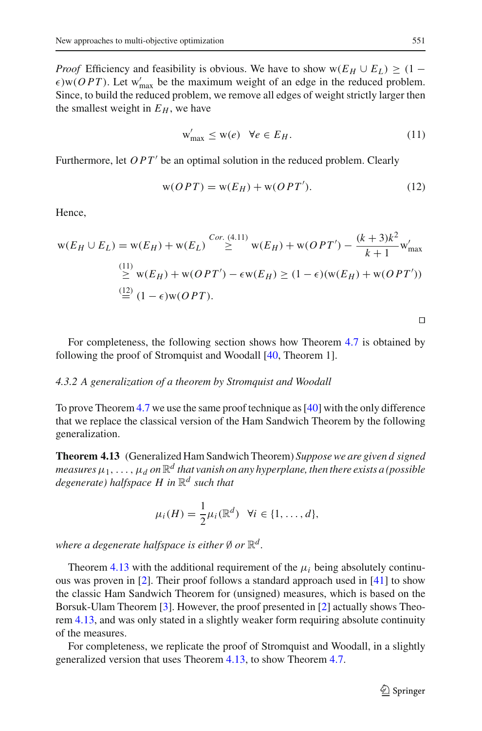*Proof* Efficiency and feasibility is obvious. We have to show  $w(E_H \cup E_L) \geq (1 \epsilon$ )w(*OPT*). Let w<sub>max</sub> be the maximum weight of an edge in the reduced problem. Since, to build the reduced problem, we remove all edges of weight strictly larger then the smallest weight in  $E_H$ , we have

$$
w'_{\max} \le w(e) \quad \forall e \in E_H. \tag{11}
$$

Furthermore, let  $OPT'$  be an optimal solution in the reduced problem. Clearly

$$
w(OPT) = w(E_H) + w(OPT'). \tag{12}
$$

Hence,

$$
w(E_H \cup E_L) = w(E_H) + w(E_L) \stackrel{Cor. (4.11)}{\geq} w(E_H) + w(OPT') - \frac{(k+3)k^2}{k+1} w'_{\text{max}}
$$
  

$$
\stackrel{(11)}{\geq} w(E_H) + w(OPT') - \epsilon w(E_H) \geq (1 - \epsilon)(w(E_H) + w(OPT'))
$$
  

$$
\stackrel{(12)}{=} (1 - \epsilon)w(OPT).
$$

 $\Box$ 

For completeness, the following section shows how Theorem [4.7](#page-23-1) is obtained by following the proof of Stromquist and Woodall [\[40,](#page-29-23) Theorem 1].

#### <span id="page-26-0"></span>*4.3.2 A generalization of a theorem by Stromquist and Woodall*

To prove Theorem [4.7](#page-23-1) we use the same proof technique as [\[40](#page-29-23)] with the only difference that we replace the classical version of the Ham Sandwich Theorem by the following generalization.

<span id="page-26-1"></span>**Theorem 4.13** (Generalized Ham Sandwich Theorem) *Suppose we are given d signed measures*  $\mu_1, \ldots, \mu_d$  *on*  $\mathbb{R}^d$  *that vanish on any hyperplane, then there exists a (possible degenerate) halfspace H in* R*<sup>d</sup> such that*

$$
\mu_i(H) = \frac{1}{2}\mu_i(\mathbb{R}^d) \quad \forall i \in \{1,\ldots,d\},
$$

*where a degenerate halfspace is either* ∅ *or* R*<sup>d</sup> .*

Theorem [4.13](#page-26-1) with the additional requirement of the  $\mu_i$  being absolutely continuous was proven in [\[2](#page-28-12)]. Their proof follows a standard approach used in [\[41\]](#page-29-24) to show the classic Ham Sandwich Theorem for (unsigned) measures, which is based on the Borsuk-Ulam Theorem [\[3\]](#page-28-13). However, the proof presented in [\[2](#page-28-12)] actually shows Theorem [4.13,](#page-26-1) and was only stated in a slightly weaker form requiring absolute continuity of the measures.

For completeness, we replicate the proof of Stromquist and Woodall, in a slightly generalized version that uses Theorem [4.13,](#page-26-1) to show Theorem [4.7.](#page-23-1)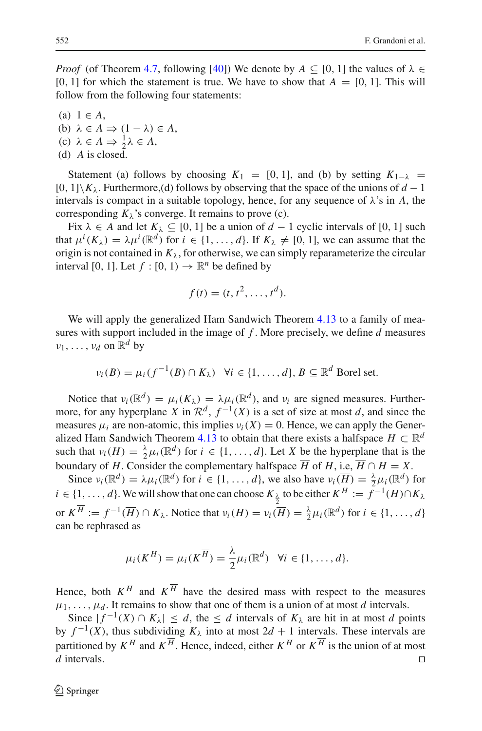*Proof* (of Theorem [4.7,](#page-23-1) following [\[40\]](#page-29-23)) We denote by  $A \subseteq [0, 1]$  the values of  $\lambda \in$  $[0, 1]$  for which the statement is true. We have to show that  $A = [0, 1]$ . This will follow from the following four statements:

(a) 1 ∈ *A*, (b)  $\lambda \in A \Rightarrow (1 - \lambda) \in A$ , (c)  $\lambda \in A \Rightarrow \frac{1}{2}\lambda \in A$ , (d) *A* is closed.

Statement (a) follows by choosing  $K_1 = [0, 1]$ , and (b) by setting  $K_{1-\lambda}$  $[0, 1]\ X_\lambda$ . Furthermore,(d) follows by observing that the space of the unions of *d* − 1 intervals is compact in a suitable topology, hence, for any sequence of  $\lambda$ 's in A, the corresponding  $K_{\lambda}$ 's converge. It remains to prove (c).

Fix  $\lambda \in A$  and let  $K_{\lambda} \subseteq [0, 1]$  be a union of  $d - 1$  cyclic intervals of [0, 1] such that  $\mu^{i}(K_{\lambda}) = \lambda \mu^{i}(\mathbb{R}^{d})$  for  $i \in \{1, ..., d\}$ . If  $K_{\lambda} \neq [0, 1]$ , we can assume that the origin is not contained in  $K_{\lambda}$ , for otherwise, we can simply reparameterize the circular interval [0, 1]. Let  $f : [0, 1) \rightarrow \mathbb{R}^n$  be defined by

$$
f(t)=(t, t^2, \ldots, t^d).
$$

We will apply the generalized Ham Sandwich Theorem [4.13](#page-26-1) to a family of measures with support included in the image of *f* . More precisely, we define *d* measures  $v_1, \ldots, v_d$  on  $\mathbb{R}^d$  by

$$
\nu_i(B) = \mu_i(f^{-1}(B) \cap K_\lambda) \quad \forall i \in \{1, ..., d\}, B \subseteq \mathbb{R}^d \text{ Borel set.}
$$

Notice that  $\nu_i(\mathbb{R}^d) = \mu_i(K_\lambda) = \lambda \mu_i(\mathbb{R}^d)$ , and  $\nu_i$  are signed measures. Furthermore, for any hyperplane *X* in  $\mathcal{R}^d$ ,  $f^{-1}(X)$  is a set of size at most *d*, and since the measures  $\mu_i$  are non-atomic, this implies  $\nu_i(X) = 0$ . Hence, we can apply the Gener-alized Ham Sandwich Theorem [4.13](#page-26-1) to obtain that there exists a halfspace  $H \subset \mathbb{R}^d$ such that  $v_i(H) = \frac{\lambda}{2}\mu_i(\mathbb{R}^d)$  for  $i \in \{1, ..., d\}$ . Let *X* be the hyperplane that is the boundary of *H*. Consider the complementary halfspace  $\overline{H}$  of *H*, i.e,  $\overline{H} \cap H = X$ .

Since  $\nu_i(\mathbb{R}^d) = \lambda \mu_i(\mathbb{R}^d)$  for  $i \in \{1, ..., d\}$ , we also have  $\nu_i(\overline{H}) = \frac{\lambda}{2} \mu_i(\mathbb{R}^d)$  for  $i \in \{1, \ldots, d\}$ . We will show that one can choose  $K_{\frac{\lambda}{2}}$  to be either  $K^H := f^{-1}(H) \cap K_{\lambda}$ or  $K^{\overline{H}} := f^{-1}(\overline{H}) \cap K_{\lambda}$ . Notice that  $v_i(H) = v_i(\overline{H}) = \frac{\lambda}{2} \mu_i(\mathbb{R}^d)$  for  $i \in \{1, ..., d\}$ can be rephrased as

$$
\mu_i(K^H) = \mu_i(K^{\overline{H}}) = \frac{\lambda}{2} \mu_i(\mathbb{R}^d) \quad \forall i \in \{1, \ldots, d\}.
$$

Hence, both  $K^H$  and  $K^{\overline{H}}$  have the desired mass with respect to the measures  $\mu_1, \ldots, \mu_d$ . It remains to show that one of them is a union of at most *d* intervals.

Since  $|f^{-1}(X) \cap K_\lambda|$  ≤ *d*, the ≤ *d* intervals of  $K_\lambda$  are hit in at most *d* points by  $f^{-1}(X)$ , thus subdividing  $K_\lambda$  into at most  $2d + 1$  intervals. These intervals are partitioned by  $K^H$  and  $K^{\overline{H}}$ . Hence, indeed, either  $K^H$  or  $K^{\overline{H}}$  is the union of at most *d* intervals. □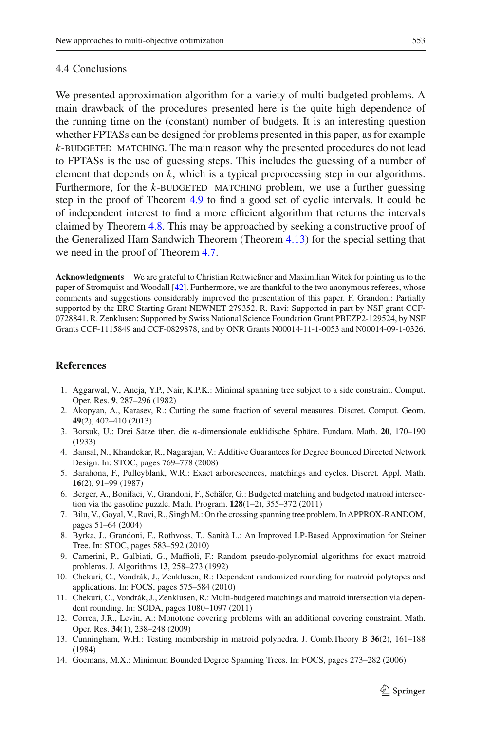# 4.4 Conclusions

We presented approximation algorithm for a variety of multi-budgeted problems. A main drawback of the procedures presented here is the quite high dependence of the running time on the (constant) number of budgets. It is an interesting question whether FPTASs can be designed for problems presented in this paper, as for example *k*-budgeted matching. The main reason why the presented procedures do not lead to FPTASs is the use of guessing steps. This includes the guessing of a number of element that depends on *k*, which is a typical preprocessing step in our algorithms. Furthermore, for the *k*-BUDGETED MATCHING problem, we use a further guessing step in the proof of Theorem [4.9](#page-25-0) to find a good set of cyclic intervals. It could be of independent interest to find a more efficient algorithm that returns the intervals claimed by Theorem [4.8.](#page-24-2) This may be approached by seeking a constructive proof of the Generalized Ham Sandwich Theorem (Theorem [4.13\)](#page-26-1) for the special setting that we need in the proof of Theorem [4.7.](#page-23-1)

**Acknowledgments** We are grateful to Christian Reitwießner and Maximilian Witek for pointing us to the paper of Stromquist and Woodall [\[42](#page-29-6)]. Furthermore, we are thankful to the two anonymous referees, whose comments and suggestions considerably improved the presentation of this paper. F. Grandoni: Partially supported by the ERC Starting Grant NEWNET 279352. R. Ravi: Supported in part by NSF grant CCF-0728841. R. Zenklusen: Supported by Swiss National Science Foundation Grant PBEZP2-129524, by NSF Grants CCF-1115849 and CCF-0829878, and by ONR Grants N00014-11-1-0053 and N00014-09-1-0326.

# <span id="page-28-0"></span>**References**

- 1. Aggarwal, V., Aneja, Y.P., Nair, K.P.K.: Minimal spanning tree subject to a side constraint. Comput. Oper. Res. **9**, 287–296 (1982)
- <span id="page-28-12"></span>2. Akopyan, A., Karasev, R.: Cutting the same fraction of several measures. Discret. Comput. Geom. **49**(2), 402–410 (2013)
- <span id="page-28-13"></span>3. Borsuk, U.: Drei Sätze über. die *n*-dimensionale euklidische Sphäre. Fundam. Math. **20**, 170–190 (1933)
- <span id="page-28-7"></span>4. Bansal, N., Khandekar, R., Nagarajan, V.: Additive Guarantees for Degree Bounded Directed Network Design. In: STOC, pages 769–778 (2008)
- <span id="page-28-3"></span>5. Barahona, F., Pulleyblank, W.R.: Exact arborescences, matchings and cycles. Discret. Appl. Math. **16**(2), 91–99 (1987)
- <span id="page-28-1"></span>6. Berger, A., Bonifaci, V., Grandoni, F., Schäfer, G.: Budgeted matching and budgeted matroid intersection via the gasoline puzzle. Math. Program. **128**(1–2), 355–372 (2011)
- <span id="page-28-9"></span>7. Bilu, V., Goyal, V., Ravi, R., Singh M.: On the crossing spanning tree problem. In APPROX-RANDOM, pages 51–64 (2004)
- <span id="page-28-8"></span>8. Byrka, J., Grandoni, F., Rothvoss, T., Sanità L.: An Improved LP-Based Approximation for Steiner Tree. In: STOC, pages 583–592 (2010)
- <span id="page-28-4"></span>9. Camerini, P., Galbiati, G., Maffioli, F.: Random pseudo-polynomial algorithms for exact matroid problems. J. Algorithms **13**, 258–273 (1992)
- <span id="page-28-5"></span>10. Chekuri, C., Vondrák, J., Zenklusen, R.: Dependent randomized rounding for matroid polytopes and applications. In: FOCS, pages 575–584 (2010)
- <span id="page-28-10"></span>11. Chekuri, C., Vondrák, J., Zenklusen, R.: Multi-budgeted matchings and matroid intersection via dependent rounding. In: SODA, pages 1080–1097 (2011)
- <span id="page-28-6"></span>12. Correa, J.R., Levin, A.: Monotone covering problems with an additional covering constraint. Math. Oper. Res. **34**(1), 238–248 (2009)
- <span id="page-28-11"></span>13. Cunningham, W.H.: Testing membership in matroid polyhedra. J. Comb.Theory B **36**(2), 161–188 (1984)
- <span id="page-28-2"></span>14. Goemans, M.X.: Minimum Bounded Degree Spanning Trees. In: FOCS, pages 273–282 (2006)